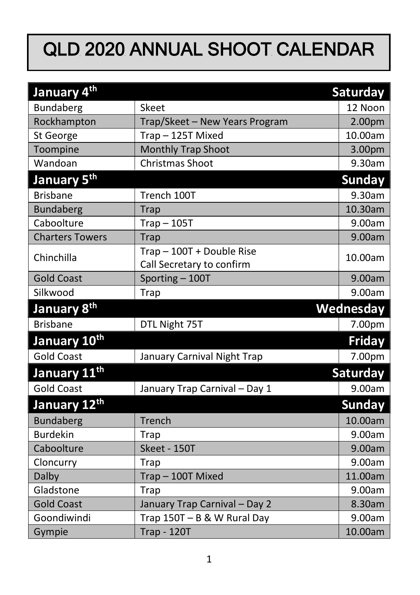## QLD 2020 ANNUAL SHOOT CALENDAR

| January 4 <sup>th</sup>  |                                                      | Saturday      |
|--------------------------|------------------------------------------------------|---------------|
| Bundaberg                | Skeet                                                | 12 Noon       |
| Rockhampton              | Trap/Skeet - New Years Program                       | 2.00pm        |
| St George                | Trap-125T Mixed                                      | 10.00am       |
| Toompine                 | Monthly Trap Shoot                                   | 3.00pm        |
| Wandoan                  | <b>Christmas Shoot</b>                               | 9.30am        |
| January 5 <sup>th</sup>  |                                                      | <b>Sunday</b> |
| <b>Brisbane</b>          | Trench 100T                                          | 9.30am        |
| <b>Bundaberg</b>         | <b>Trap</b>                                          | 10.30am       |
| Caboolture               | $Trap - 105T$                                        | 9.00am        |
| <b>Charters Towers</b>   | Trap                                                 | 9.00am        |
| Chinchilla               | Trap-100T + Double Rise<br>Call Secretary to confirm | 10.00am       |
| <b>Gold Coast</b>        | Sporting-100T                                        | 9.00am        |
| Silkwood                 | Trap                                                 | 9.00am        |
|                          |                                                      |               |
| January 8 <sup>th</sup>  |                                                      | Wednesday     |
| <b>Brisbane</b>          | DTL Night 75T                                        | 7.00pm        |
| January 10 <sup>th</sup> |                                                      | <b>Friday</b> |
| <b>Gold Coast</b>        | January Carnival Night Trap                          | 7.00pm        |
| January 11 <sup>th</sup> |                                                      | Saturday      |
| <b>Gold Coast</b>        | January Trap Carnival - Day 1                        | 9.00am        |
| January 12th             |                                                      | <b>Sunday</b> |
| <b>Bundaberg</b>         | Trench                                               | 10.00am       |
| <b>Burdekin</b>          | Trap                                                 | 9.00am        |
| Caboolture               | Skeet - 150T                                         | 9.00am        |
| Cloncurry                | <b>Trap</b>                                          | 9.00am        |
| Dalby                    | Trap-100T Mixed                                      | 11.00am       |
| Gladstone                | Trap                                                 | 9.00am        |
| <b>Gold Coast</b>        | January Trap Carnival - Day 2                        | 8.30am        |
| Goondiwindi              | Trap 150T - B & W Rural Day                          | 9.00am        |
| Gympie                   | <b>Trap - 120T</b>                                   | 10.00am       |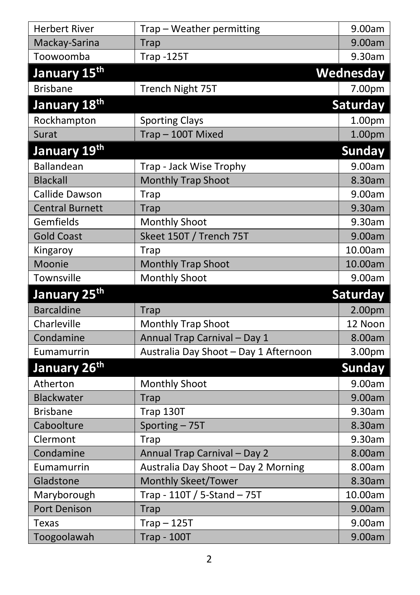| <b>Herbert River</b>     | Trap - Weather permitting             | 9.00am          |
|--------------------------|---------------------------------------|-----------------|
| Mackay-Sarina            | <b>Trap</b>                           | 9.00am          |
| Toowoomba                | <b>Trap -125T</b>                     | 9.30am          |
| January 15 <sup>th</sup> |                                       | Wednesday       |
| <b>Brisbane</b>          | Trench Night 75T                      | 7.00pm          |
| January 18 <sup>th</sup> |                                       | <b>Saturday</b> |
| Rockhampton              | <b>Sporting Clays</b>                 | 1.00pm          |
| Surat                    | Trap-100T Mixed                       | 1.00pm          |
| January 19 <sup>th</sup> |                                       | <b>Sunday</b>   |
| Ballandean               | Trap - Jack Wise Trophy               | 9.00am          |
| <b>Blackall</b>          | <b>Monthly Trap Shoot</b>             | 8.30am          |
| Callide Dawson           | <b>Trap</b>                           | 9.00am          |
| <b>Central Burnett</b>   | <b>Trap</b>                           | 9.30am          |
| Gemfields                | Monthly Shoot                         | 9.30am          |
| <b>Gold Coast</b>        | Skeet 150T / Trench 75T               | 9.00am          |
| Kingaroy                 | Trap                                  | 10.00am         |
| Moonie                   | Monthly Trap Shoot                    | 10.00am         |
| Townsville               | <b>Monthly Shoot</b>                  | 9.00am          |
|                          |                                       |                 |
| January 25 <sup>th</sup> |                                       | Saturday        |
| <b>Barcaldine</b>        | <b>Trap</b>                           | 2.00pm          |
| Charleville              | Monthly Trap Shoot                    | 12 Noon         |
| Condamine                | Annual Trap Carnival - Day 1          | 8.00am          |
| Eumamurrin               | Australia Day Shoot - Day 1 Afternoon | 3.00pm          |
| January 26 <sup>th</sup> |                                       | <b>Sunday</b>   |
| Atherton                 | <b>Monthly Shoot</b>                  | 9.00am          |
| Blackwater               | Trap                                  | 9.00am          |
| <b>Brisbane</b>          | Trap 130T                             | 9.30am          |
| Caboolture               | Sporting - 75T                        | 8.30am          |
| Clermont                 | Trap                                  | 9.30am          |
| Condamine                | Annual Trap Carnival - Day 2          | 8.00am          |
| Eumamurrin               | Australia Day Shoot - Day 2 Morning   | 8.00am          |
| Gladstone                | Monthly Skeet/Tower                   | 8.30am          |
| Maryborough              | Trap - 110T / 5-Stand - 75T           | 10.00am         |
| <b>Port Denison</b>      | Trap                                  | 9.00am          |
| <b>Texas</b>             | $Trap - 125T$                         | 9.00am          |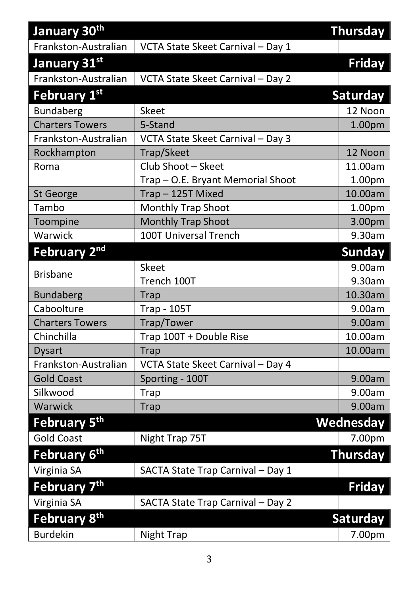| January 30th             |                                   | <b>Thursday</b> |
|--------------------------|-----------------------------------|-----------------|
| Frankston-Australian     | VCTA State Skeet Carnival - Day 1 |                 |
| January 31st             |                                   | <b>Friday</b>   |
| Frankston-Australian     | VCTA State Skeet Carnival - Day 2 |                 |
| February 1st             |                                   | <b>Saturday</b> |
| <b>Bundaberg</b>         | Skeet                             | 12 Noon         |
| <b>Charters Towers</b>   | 5-Stand                           | 1.00pm          |
| Frankston-Australian     | VCTA State Skeet Carnival - Day 3 |                 |
| Rockhampton              | Trap/Skeet                        | 12 Noon         |
| Roma                     | Club Shoot - Skeet                | 11.00am         |
|                          | Trap - O.E. Bryant Memorial Shoot | 1.00pm          |
| St George                | Trap-125T Mixed                   | 10.00am         |
| Tambo                    | Monthly Trap Shoot                | 1.00pm          |
| Toompine                 | Monthly Trap Shoot                | 3.00pm          |
| Warwick                  | 100T Universal Trench             | 9.30am          |
| February 2nd             |                                   | <b>Sunday</b>   |
|                          | Skeet                             | 9.00am          |
| <b>Brisbane</b>          | Trench 100T                       | 9.30am          |
| <b>Bundaberg</b>         | <b>Trap</b>                       | 10.30am         |
| Caboolture               | <b>Trap - 105T</b>                | 9.00am          |
| <b>Charters Towers</b>   | Trap/Tower                        | 9.00am          |
| Chinchilla               | Trap 100T + Double Rise           | 10.00am         |
| <b>Dysart</b>            | <b>Trap</b>                       | 10.00am         |
| Frankston-Australian     | VCTA State Skeet Carnival - Day 4 |                 |
| <b>Gold Coast</b>        | Sporting - 100T                   | 9.00am          |
| Silkwood                 | <b>Trap</b>                       | 9.00am          |
| Warwick                  | <b>Trap</b>                       | 9.00am          |
| February 5 <sup>th</sup> |                                   | Wednesday       |
| <b>Gold Coast</b>        | Night Trap 75T                    | 7.00pm          |
| February 6 <sup>th</sup> |                                   | <b>Thursday</b> |
| Virginia SA              | SACTA State Trap Carnival - Day 1 |                 |
| February 7th             |                                   | <b>Friday</b>   |
| Virginia SA              | SACTA State Trap Carnival - Day 2 |                 |
| February 8 <sup>th</sup> |                                   | Saturday        |
| <b>Burdekin</b>          | Night Trap                        | 7.00pm          |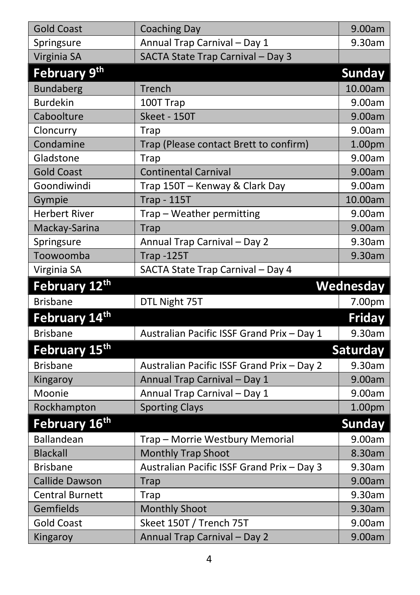| <b>Gold Coast</b>                            | <b>Coaching Day</b>                        | 9.00am        |
|----------------------------------------------|--------------------------------------------|---------------|
| Springsure                                   | Annual Trap Carnival - Day 1               | 9.30am        |
| Virginia SA                                  | SACTA State Trap Carnival - Day 3          |               |
| February 9 <sup>th</sup>                     |                                            | <b>Sunday</b> |
| <b>Bundaberg</b>                             | Trench                                     | 10.00am       |
| <b>Burdekin</b>                              | 100T Trap                                  | 9.00am        |
| Caboolture                                   | Skeet - 150T                               | 9.00am        |
| Cloncurry                                    | Trap                                       | 9.00am        |
| Condamine                                    | Trap (Please contact Brett to confirm)     | 1.00pm        |
| Gladstone                                    | Trap                                       | 9.00am        |
| <b>Gold Coast</b>                            | <b>Continental Carnival</b>                | 9.00am        |
| Goondiwindi                                  | Trap 150T - Kenway & Clark Day             | 9.00am        |
| Gympie                                       | <b>Trap - 115T</b>                         | 10.00am       |
| <b>Herbert River</b>                         | Trap - Weather permitting                  | 9.00am        |
| Mackay-Sarina                                | <b>Trap</b>                                | 9.00am        |
| Springsure                                   | Annual Trap Carnival - Day 2               | 9.30am        |
| Toowoomba                                    | <b>Trap -125T</b>                          | 9.30am        |
| Virginia SA                                  | SACTA State Trap Carnival - Day 4          |               |
|                                              |                                            |               |
| February 12th                                |                                            | Wednesday     |
| <b>Brisbane</b>                              | DTL Night 75T                              | 7.00pm        |
| February 14 <sup>th</sup>                    |                                            | <b>Friday</b> |
| <b>Brisbane</b>                              | Australian Pacific ISSF Grand Prix - Day 1 | 9.30am        |
|                                              |                                            | Saturday      |
| February 15 <sup>th</sup><br><b>Brisbane</b> | Australian Pacific ISSF Grand Prix - Day 2 | 9.30am        |
| Kingaroy                                     | Annual Trap Carnival - Day 1               | 9.00am        |
| Moonie                                       | Annual Trap Carnival - Day 1               | 9.00am        |
| Rockhampton                                  | <b>Sporting Clays</b>                      | 1.00pm        |
| February 16 <sup>th</sup>                    |                                            | <b>Sunday</b> |
| Ballandean                                   | Trap - Morrie Westbury Memorial            | 9.00am        |
| <b>Blackall</b>                              | <b>Monthly Trap Shoot</b>                  | 8.30am        |
| <b>Brisbane</b>                              | Australian Pacific ISSF Grand Prix - Day 3 | 9.30am        |
| Callide Dawson                               | <b>Trap</b>                                | 9.00am        |
| <b>Central Burnett</b>                       | Trap                                       | 9.30am        |
| Gemfields                                    | <b>Monthly Shoot</b>                       | 9.30am        |
| <b>Gold Coast</b>                            | Skeet 150T / Trench 75T                    | 9.00am        |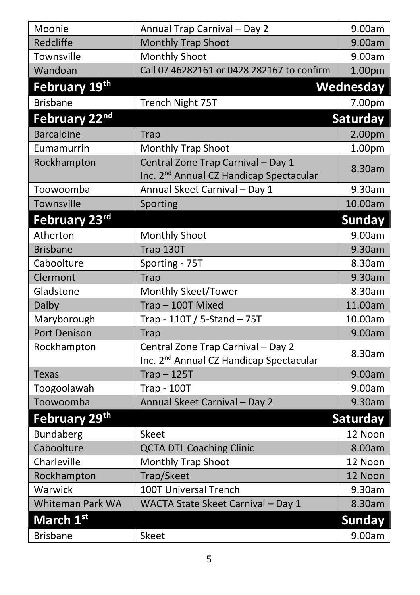| Annual Trap Carnival - Day 2                                                              | 9.00am          |
|-------------------------------------------------------------------------------------------|-----------------|
| Monthly Trap Shoot                                                                        | 9.00am          |
| <b>Monthly Shoot</b>                                                                      | 9.00am          |
| Call 07 46282161 or 0428 282167 to confirm                                                | 1.00pm          |
|                                                                                           | Wednesday       |
| Trench Night 75T                                                                          | 7.00pm          |
|                                                                                           | Saturday        |
| <b>Trap</b>                                                                               | 2.00pm          |
| <b>Monthly Trap Shoot</b>                                                                 | 1.00pm          |
| Central Zone Trap Carnival - Day 1<br>Inc. 2 <sup>nd</sup> Annual CZ Handicap Spectacular | 8.30am          |
| Annual Skeet Carnival - Day 1                                                             | 9.30am          |
| Sporting                                                                                  | 10.00am         |
|                                                                                           | <b>Sunday</b>   |
| <b>Monthly Shoot</b>                                                                      | 9.00am          |
| Trap 130T                                                                                 | 9.30am          |
| Sporting - 75T                                                                            | 8.30am          |
| Trap                                                                                      | 9.30am          |
| Monthly Skeet/Tower                                                                       | 8.30am          |
| Trap-100T Mixed                                                                           | 11.00am         |
| Trap - 110T / 5-Stand - 75T                                                               | 10.00am         |
| <b>Trap</b>                                                                               | 9.00am          |
| Central Zone Trap Carnival - Day 2<br>Inc. 2 <sup>nd</sup> Annual CZ Handicap Spectacular | 8.30am          |
| $Trap - 125T$                                                                             | 9.00am          |
| <b>Trap - 100T</b>                                                                        | 9.00am          |
| Annual Skeet Carnival - Day 2                                                             | 9.30am          |
|                                                                                           | <b>Saturday</b> |
| <b>Skeet</b>                                                                              | 12 Noon         |
| <b>QCTA DTL Coaching Clinic</b>                                                           | 8.00am          |
| <b>Monthly Trap Shoot</b>                                                                 | 12 Noon         |
| Trap/Skeet                                                                                | 12 Noon         |
| 100T Universal Trench                                                                     | 9.30am          |
| WACTA State Skeet Carnival - Day 1                                                        | 8.30am          |
|                                                                                           | <b>Sunday</b>   |
| Skeet                                                                                     | 9.00am          |
|                                                                                           |                 |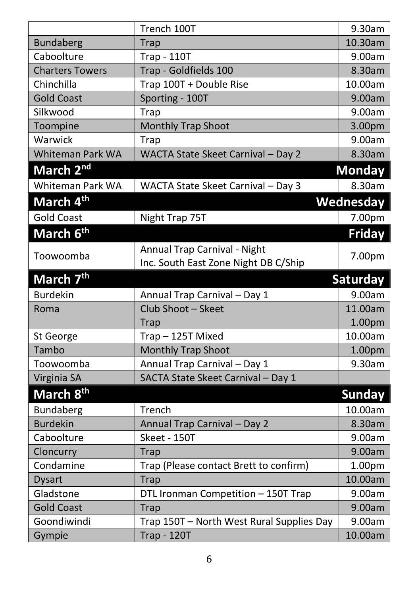|                        | Trench 100T                               | 9.30am          |
|------------------------|-------------------------------------------|-----------------|
| <b>Bundaberg</b>       | Trap                                      | 10.30am         |
| Caboolture             | <b>Trap - 110T</b>                        | 9.00am          |
| <b>Charters Towers</b> | Trap - Goldfields 100                     | 8.30am          |
| Chinchilla             | Trap 100T + Double Rise                   | 10.00am         |
| <b>Gold Coast</b>      | Sporting - 100T                           | 9.00am          |
| Silkwood               | Trap                                      | 9.00am          |
| Toompine               | Monthly Trap Shoot                        | 3.00pm          |
| Warwick                | Trap                                      | 9.00am          |
| Whiteman Park WA       | WACTA State Skeet Carnival - Day 2        | 8.30am          |
| March 2 <sup>nd</sup>  |                                           | <b>Monday</b>   |
| Whiteman Park WA       | WACTA State Skeet Carnival - Day 3        | 8.30am          |
| March 4 <sup>th</sup>  |                                           | Wednesday       |
| <b>Gold Coast</b>      | Night Trap 75T                            | 7.00pm          |
| March 6th              |                                           | <b>Friday</b>   |
|                        | Annual Trap Carnival - Night              |                 |
| Toowoomba              | Inc. South East Zone Night DB C/Ship      | 7.00pm          |
| March 7 <sup>th</sup>  |                                           | <b>Saturday</b> |
| <b>Burdekin</b>        | Annual Trap Carnival - Day 1              | 9.00am          |
| Roma                   | Club Shoot - Skeet                        | 11.00am         |
|                        | Trap                                      | 1.00pm          |
| St George              | Trap-125T Mixed                           | 10.00am         |
| Tambo                  | Monthly Trap Shoot                        | 1.00pm          |
| Toowoomba              | Annual Trap Carnival - Day 1              | 9.30am          |
| Virginia SA            | SACTA State Skeet Carnival - Day 1        |                 |
| March 8 <sup>th</sup>  |                                           | <b>Sunday</b>   |
| Bundaberg              | Trench                                    | 10.00am         |
| <b>Burdekin</b>        | Annual Trap Carnival - Day 2              | 8.30am          |
| Caboolture             | Skeet - 150T                              | 9.00am          |
| Cloncurry              | <b>Trap</b>                               | 9.00am          |
| Condamine              | Trap (Please contact Brett to confirm)    | 1.00pm          |
| <b>Dysart</b>          | Trap                                      | 10.00am         |
| Gladstone              | DTL Ironman Competition - 150T Trap       | 9.00am          |
| <b>Gold Coast</b>      | Trap                                      | 9.00am          |
| Goondiwindi            | Trap 150T - North West Rural Supplies Day | 9.00am          |
| Gympie                 | <b>Trap - 120T</b>                        | 10.00am         |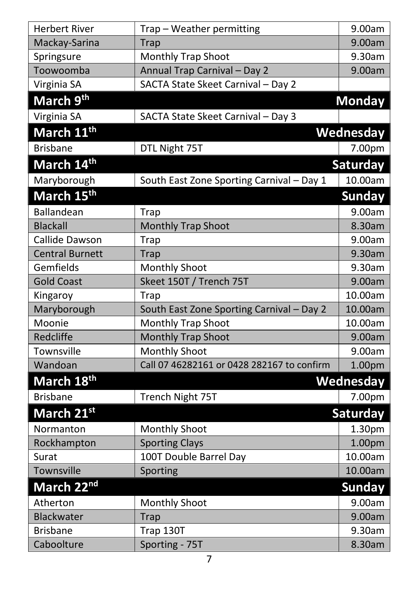| <b>Herbert River</b>   | Trap - Weather permitting                  | 9.00am           |
|------------------------|--------------------------------------------|------------------|
| Mackay-Sarina          | <b>Trap</b>                                | 9.00am           |
| Springsure             | Monthly Trap Shoot                         | 9.30am           |
| Toowoomba              | Annual Trap Carnival - Day 2               | 9.00am           |
| Virginia SA            | SACTA State Skeet Carnival - Day 2         |                  |
| March 9 <sup>th</sup>  |                                            | <b>Monday</b>    |
| Virginia SA            | SACTA State Skeet Carnival - Day 3         |                  |
| March 11 <sup>th</sup> |                                            | Wednesday        |
| <b>Brisbane</b>        | DTL Night 75T                              | 7.00pm           |
| March 14 <sup>th</sup> |                                            | Saturday         |
| Maryborough            | South East Zone Sporting Carnival - Day 1  | 10.00am          |
| March 15th             |                                            | <b>Sunday</b>    |
| <b>Ballandean</b>      | Trap                                       | 9.00am           |
| <b>Blackall</b>        | <b>Monthly Trap Shoot</b>                  | 8.30am           |
| Callide Dawson         | Trap                                       | 9.00am           |
| <b>Central Burnett</b> | <b>Trap</b>                                | 9.30am           |
| Gemfields              | <b>Monthly Shoot</b>                       | 9.30am           |
| <b>Gold Coast</b>      | Skeet 150T / Trench 75T                    | 9.00am           |
| Kingaroy               | <b>Trap</b>                                | 10.00am          |
| Maryborough            | South East Zone Sporting Carnival - Day 2  | 10.00am          |
| Moonie                 | Monthly Trap Shoot                         | 10.00am          |
| Redcliffe              | <b>Monthly Trap Shoot</b>                  | 9.00am           |
| Townsville             | <b>Monthly Shoot</b>                       | 9.00am           |
| Wandoan                | Call 07 46282161 or 0428 282167 to confirm | 1.00pm           |
| March 18 <sup>th</sup> |                                            | <b>Wednesday</b> |
| <b>Brisbane</b>        | Trench Night 75T                           | 7.00pm           |
| March 21st             |                                            | Saturday         |
| Normanton              | <b>Monthly Shoot</b>                       | 1.30pm           |
| Rockhampton            | <b>Sporting Clays</b>                      | 1.00pm           |
| Surat                  | 100T Double Barrel Day                     | 10.00am          |
| Townsville             | Sporting                                   | 10.00am          |
| March 22 <sup>nd</sup> |                                            | <b>Sunday</b>    |
| Atherton               | Monthly Shoot                              | 9.00am           |
| Blackwater             | Trap                                       | 9.00am           |
| <b>Brisbane</b>        | Trap 130T                                  | 9.30am           |
| Caboolture             | Sporting - 75T                             | 8.30am           |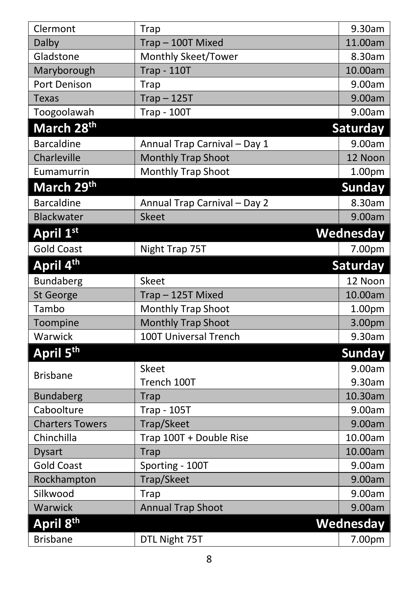| Clermont               | <b>Trap</b>                  | 9.30am           |
|------------------------|------------------------------|------------------|
| Dalby                  | Trap-100T Mixed              | 11.00am          |
| Gladstone              | Monthly Skeet/Tower          | 8.30am           |
| Maryborough            | <b>Trap - 110T</b>           | 10.00am          |
| Port Denison           | Trap                         | 9.00am           |
| <b>Texas</b>           | $Trap - 125T$                | 9.00am           |
| Toogoolawah            | <b>Trap - 100T</b>           | 9.00am           |
| March 28 <sup>th</sup> |                              | Saturday         |
| <b>Barcaldine</b>      | Annual Trap Carnival - Day 1 | 9.00am           |
| Charleville            | <b>Monthly Trap Shoot</b>    | 12 Noon          |
| Eumamurrin             | Monthly Trap Shoot           | 1.00pm           |
| March 29 <sup>th</sup> |                              | <b>Sunday</b>    |
| <b>Barcaldine</b>      | Annual Trap Carnival - Day 2 | 8.30am           |
| <b>Blackwater</b>      | <b>Skeet</b>                 | 9.00am           |
| April 1st              |                              | <b>Wednesday</b> |
| <b>Gold Coast</b>      | Night Trap 75T               | 7.00pm           |
| April 4 <sup>th</sup>  |                              | <b>Saturday</b>  |
| Bundaberg              | Skeet                        | 12 Noon          |
| St George              | Trap-125T Mixed              | 10.00am          |
| Tambo                  | Monthly Trap Shoot           | 1.00pm           |
| Toompine               | Monthly Trap Shoot           | 3.00pm           |
| Warwick                | 100T Universal Trench        | 9.30am           |
| April 5th              |                              | <b>Sunday</b>    |
|                        | <b>Skeet</b>                 | 9.00am           |
| <b>Brisbane</b>        | Trench 100T                  | 9.30am           |
| <b>Bundaberg</b>       | <b>Trap</b>                  | 10.30am          |
| Caboolture             | <b>Trap - 105T</b>           | 9.00am           |
| <b>Charters Towers</b> | Trap/Skeet                   | 9.00am           |
| Chinchilla             | Trap 100T + Double Rise      | 10.00am          |
| <b>Dysart</b>          | <b>Trap</b>                  | 10.00am          |
| Gold Coast             | Sporting - 100T              | 9.00am           |
| Rockhampton            | Trap/Skeet                   | 9.00am           |
| Silkwood               | Trap                         | 9.00am           |
| Warwick                | <b>Annual Trap Shoot</b>     | 9.00am           |
| April 8 <sup>th</sup>  |                              | Wednesday        |
| <b>Brisbane</b>        | DTL Night 75T                | 7.00pm           |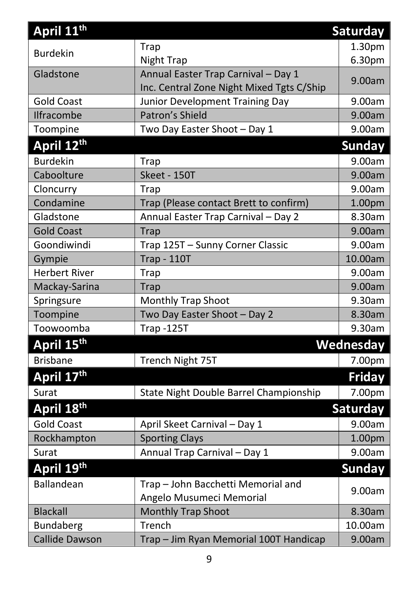| April 11 <sup>th</sup> |                                           | <b>Saturday</b> |
|------------------------|-------------------------------------------|-----------------|
|                        | <b>Trap</b>                               | 1.30pm          |
| <b>Burdekin</b>        | Night Trap                                | 6.30pm          |
| Gladstone              | Annual Easter Trap Carnival - Day 1       |                 |
|                        | Inc. Central Zone Night Mixed Tgts C/Ship | 9.00am          |
| <b>Gold Coast</b>      | Junior Development Training Day           | 9.00am          |
| Ilfracombe             | Patron's Shield                           | 9.00am          |
| Toompine               | Two Day Easter Shoot - Day 1              | 9.00am          |
| April 12th             |                                           | Sunday          |
| <b>Burdekin</b>        | <b>Trap</b>                               | 9.00am          |
| Caboolture             | Skeet - 150T                              | 9.00am          |
| Cloncurry              | Trap                                      | 9.00am          |
| Condamine              | Trap (Please contact Brett to confirm)    | 1.00pm          |
| Gladstone              | Annual Easter Trap Carnival - Day 2       | 8.30am          |
| <b>Gold Coast</b>      | Trap                                      | 9.00am          |
| Goondiwindi            | Trap 125T - Sunny Corner Classic          | 9.00am          |
| Gympie                 | <b>Trap - 110T</b>                        | 10.00am         |
| <b>Herbert River</b>   | Trap                                      | 9.00am          |
| Mackay-Sarina          | <b>Trap</b>                               | 9.00am          |
| Springsure             | <b>Monthly Trap Shoot</b>                 | 9.30am          |
| Toompine               | Two Day Easter Shoot - Day 2              | 8.30am          |
| Toowoomba              | <b>Trap -125T</b>                         | 9.30am          |
| April 15 <sup>th</sup> |                                           | Wednesday       |
| <b>Brisbane</b>        | Trench Night 75T                          | 7.00pm          |
| April 17th             |                                           | <b>Friday</b>   |
| Surat                  | State Night Double Barrel Championship    | 7.00pm          |
| April 18th             |                                           | <b>Saturday</b> |
| <b>Gold Coast</b>      | April Skeet Carnival - Day 1              | 9.00am          |
| Rockhampton            | <b>Sporting Clays</b>                     | 1.00pm          |
| Surat                  | Annual Trap Carnival - Day 1              | 9.00am          |
| April 19th             |                                           | <b>Sunday</b>   |
| Ballandean             | Trap - John Bacchetti Memorial and        |                 |
|                        | Angelo Musumeci Memorial                  | 9.00am          |
| <b>Blackall</b>        | <b>Monthly Trap Shoot</b>                 | 8.30am          |
| Bundaberg              | Trench                                    | 10.00am         |
| <b>Callide Dawson</b>  | Trap - Jim Ryan Memorial 100T Handicap    | 9.00am          |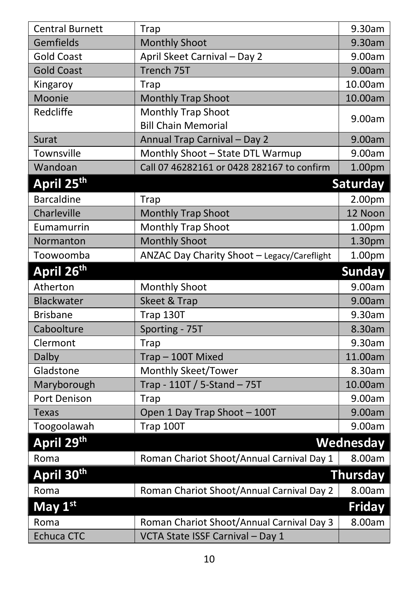| <b>Central Burnett</b> | <b>Trap</b>                                 | 9.30am           |
|------------------------|---------------------------------------------|------------------|
| Gemfields              | <b>Monthly Shoot</b>                        | 9.30am           |
| <b>Gold Coast</b>      | April Skeet Carnival - Day 2                | 9.00am           |
| <b>Gold Coast</b>      | Trench 75T                                  | 9.00am           |
| Kingaroy               | Trap                                        | 10.00am          |
| Moonie                 | Monthly Trap Shoot                          | 10.00am          |
| Redcliffe              | <b>Monthly Trap Shoot</b>                   | 9.00am           |
|                        | <b>Bill Chain Memorial</b>                  |                  |
| Surat                  | Annual Trap Carnival - Day 2                | 9.00am           |
| Townsville             | Monthly Shoot - State DTL Warmup            | 9.00am           |
| Wandoan                | Call 07 46282161 or 0428 282167 to confirm  | 1.00pm           |
| April 25th             |                                             | Saturday         |
| <b>Barcaldine</b>      | Trap                                        | 2.00pm           |
| Charleville            | Monthly Trap Shoot                          | 12 Noon          |
| Eumamurrin             | Monthly Trap Shoot                          | 1.00pm           |
| Normanton              | <b>Monthly Shoot</b>                        | 1.30pm           |
| Toowoomba              | ANZAC Day Charity Shoot - Legacy/Careflight | 1.00pm           |
| April 26 <sup>th</sup> |                                             | <b>Sunday</b>    |
| Atherton               | <b>Monthly Shoot</b>                        | 9.00am           |
| <b>Blackwater</b>      | Skeet & Trap                                | 9.00am           |
| <b>Brisbane</b>        | Trap 130T                                   | 9.30am           |
| Caboolture             | Sporting - 75T                              | 8.30am           |
| Clermont               | Trap                                        | 9.30am           |
| Dalby                  | Trap-100T Mixed                             | 11.00am          |
| Gladstone              | Monthly Skeet/Tower                         | 8.30am           |
| Maryborough            | Trap - 110T / 5-Stand - 75T                 | 10.00am          |
| Port Denison           | Trap                                        | 9.00am           |
| <b>Texas</b>           | Open 1 Day Trap Shoot - 100T                | 9.00am           |
| Toogoolawah            | Trap 100T                                   | 9.00am           |
| April 29 <sup>th</sup> |                                             | <b>Wednesday</b> |
| Roma                   | Roman Chariot Shoot/Annual Carnival Day 1   | 8.00am           |
| April 30th             |                                             | <b>Thursday</b>  |
| Roma                   | Roman Chariot Shoot/Annual Carnival Day 2   | 8.00am           |
| May 1st                |                                             | <b>Friday</b>    |
| Roma                   | Roman Chariot Shoot/Annual Carnival Day 3   | 8.00am           |
| <b>Echuca CTC</b>      | VCTA State ISSF Carnival - Day 1            |                  |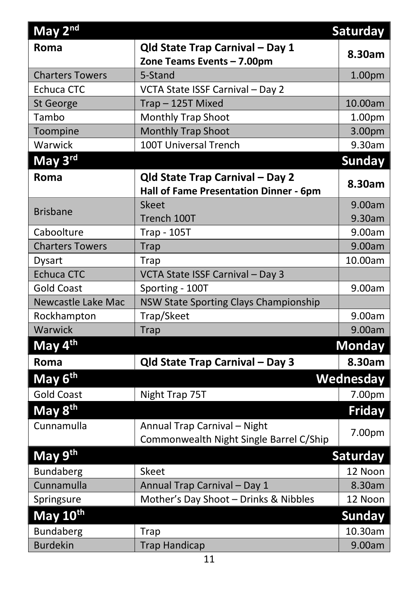| May $2nd$              |                                         | Saturday        |
|------------------------|-----------------------------------------|-----------------|
| Roma                   | Qld State Trap Carnival - Day 1         |                 |
|                        | Zone Teams Events - 7.00pm              | 8.30am          |
| <b>Charters Towers</b> | 5-Stand                                 | 1.00pm          |
| <b>Echuca CTC</b>      | VCTA State ISSF Carnival - Day 2        |                 |
| St George              | Trap-125T Mixed                         | 10.00am         |
| Tambo                  | <b>Monthly Trap Shoot</b>               | 1.00pm          |
| Toompine               | Monthly Trap Shoot                      | 3.00pm          |
| Warwick                | 100T Universal Trench                   | 9.30am          |
| May 3rd                |                                         | <b>Sunday</b>   |
| Roma                   | Qld State Trap Carnival - Day 2         |                 |
|                        | Hall of Fame Presentation Dinner - 6pm  | 8.30am          |
|                        | <b>Skeet</b>                            | 9.00am          |
| <b>Brisbane</b>        | Trench 100T                             | 9.30am          |
| Caboolture             | <b>Trap - 105T</b>                      | 9.00am          |
| <b>Charters Towers</b> | <b>Trap</b>                             | 9.00am          |
| <b>Dysart</b>          | <b>Trap</b>                             | 10.00am         |
| <b>Echuca CTC</b>      | VCTA State ISSF Carnival - Day 3        |                 |
| <b>Gold Coast</b>      | Sporting - 100T                         | 9.00am          |
| Newcastle Lake Mac     | NSW State Sporting Clays Championship   |                 |
| Rockhampton            | Trap/Skeet                              | 9.00am          |
| Warwick                | <b>Trap</b>                             | 9.00am          |
| May 4 <sup>th</sup>    |                                         | <b>Monday</b>   |
| Roma                   | Qld State Trap Carnival - Day 3         | 8.30am          |
| May 6 <sup>th</sup>    |                                         | Wednesday       |
| <b>Gold Coast</b>      | Night Trap 75T                          | 7.00pm          |
| May 8 <sup>th</sup>    |                                         | <b>Friday</b>   |
| Cunnamulla             | Annual Trap Carnival - Night            |                 |
|                        | Commonwealth Night Single Barrel C/Ship | 7.00pm          |
| May 9th                |                                         | <b>Saturday</b> |
| Bundaberg              | <b>Skeet</b>                            | 12 Noon         |
| Cunnamulla             | Annual Trap Carnival - Day 1            | 8.30am          |
| Springsure             | Mother's Day Shoot - Drinks & Nibbles   | 12 Noon         |
| May 10th               |                                         | <b>Sunday</b>   |
| Bundaberg              | <b>Trap</b>                             | 10.30am         |
| <b>Burdekin</b>        | <b>Trap Handicap</b>                    | 9.00am          |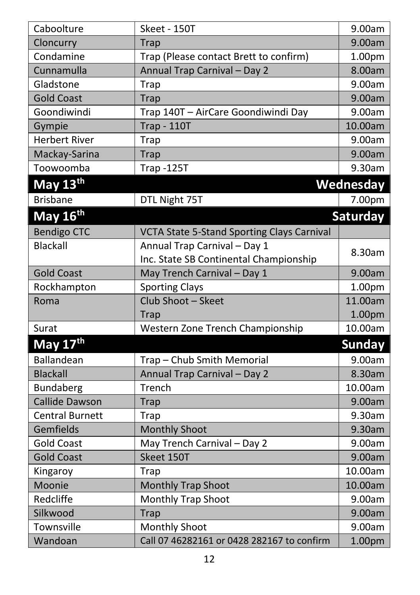| Caboolture             | Skeet - 150T                                      | 9.00am             |
|------------------------|---------------------------------------------------|--------------------|
| Cloncurry              | <b>Trap</b>                                       | 9.00am             |
| Condamine              | Trap (Please contact Brett to confirm)            | 1.00pm             |
| Cunnamulla             | Annual Trap Carnival - Day 2                      | 8.00am             |
| Gladstone              | Trap                                              | 9.00am             |
| <b>Gold Coast</b>      | <b>Trap</b>                                       | 9.00am             |
| Goondiwindi            | Trap 140T - AirCare Goondiwindi Day               | 9.00am             |
| Gympie                 | <b>Trap - 110T</b>                                | 10.00am            |
| <b>Herbert River</b>   | Trap                                              | 9.00am             |
| Mackay-Sarina          | <b>Trap</b>                                       | 9.00am             |
| Toowoomba              | <b>Trap -125T</b>                                 | 9.30am             |
| May 13th               |                                                   | Wednesday          |
| <b>Brisbane</b>        | DTL Night 75T                                     | 7.00pm             |
| May 16 <sup>th</sup>   |                                                   | Saturday           |
| <b>Bendigo CTC</b>     | <b>VCTA State 5-Stand Sporting Clays Carnival</b> |                    |
| <b>Blackall</b>        | Annual Trap Carnival - Day 1                      |                    |
|                        | Inc. State SB Continental Championship            | 8.30am             |
| <b>Gold Coast</b>      | May Trench Carnival - Day 1                       | 9.00am             |
| Rockhampton            | <b>Sporting Clays</b>                             | 1.00pm             |
| Roma                   | Club Shoot - Skeet                                | 11.00am            |
|                        | Trap                                              | 1.00pm             |
| Surat                  | Western Zone Trench Championship                  | 10.00am            |
| May 17 <sup>th</sup>   |                                                   | <b>Sunday</b>      |
| Ballandean             | Trap - Chub Smith Memorial                        | 9.00am             |
| <b>Blackall</b>        | Annual Trap Carnival - Day 2                      | 8.30am             |
| <b>Bundaberg</b>       | Trench                                            | 10.00am            |
| <b>Callide Dawson</b>  | <b>Trap</b>                                       | 9.00am             |
| <b>Central Burnett</b> | Trap                                              | 9.30am             |
| Gemfields              | <b>Monthly Shoot</b>                              | 9.30am             |
| <b>Gold Coast</b>      | May Trench Carnival - Day 2                       | 9.00am             |
| <b>Gold Coast</b>      | Skeet 150T                                        | 9.00am             |
| Kingaroy               | Trap                                              | 10.00am            |
| Moonie                 | Monthly Trap Shoot                                | 10.00am            |
| Redcliffe              | <b>Monthly Trap Shoot</b>                         | 9.00am             |
| Silkwood               | Trap                                              | 9.00am             |
| Townsville             | Monthly Shoot                                     | 9.00am             |
| Wandoan                | Call 07 46282161 or 0428 282167 to confirm        | 1.00 <sub>pm</sub> |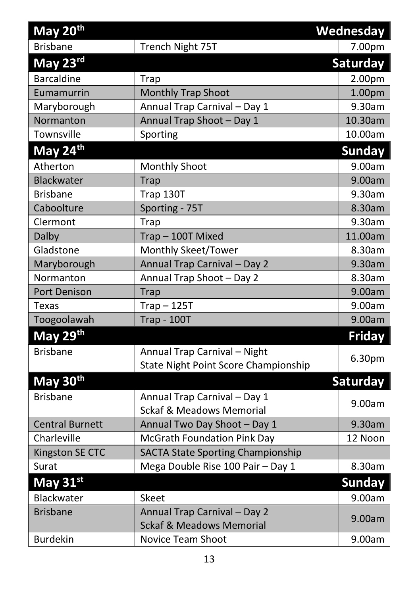| May 20th               |                                                                      | <b>Wednesday</b> |
|------------------------|----------------------------------------------------------------------|------------------|
| <b>Brisbane</b>        | Trench Night 75T                                                     | 7.00pm           |
| May 23rd               |                                                                      | <b>Saturday</b>  |
| <b>Barcaldine</b>      | <b>Trap</b>                                                          | 2.00pm           |
| Eumamurrin             | Monthly Trap Shoot                                                   | 1.00pm           |
| Maryborough            | Annual Trap Carnival - Day 1                                         | 9.30am           |
| Normanton              | Annual Trap Shoot - Day 1                                            | 10.30am          |
| Townsville             | Sporting                                                             | 10.00am          |
| May 24th               |                                                                      | <b>Sunday</b>    |
| Atherton               | <b>Monthly Shoot</b>                                                 | 9.00am           |
| Blackwater             | <b>Trap</b>                                                          | 9.00am           |
| <b>Brisbane</b>        | Trap 130T                                                            | 9.30am           |
| Caboolture             | Sporting - 75T                                                       | 8.30am           |
| Clermont               | <b>Trap</b>                                                          | 9.30am           |
| Dalby                  | Trap-100T Mixed                                                      | 11.00am          |
| Gladstone              | Monthly Skeet/Tower                                                  | 8.30am           |
| Maryborough            | Annual Trap Carnival - Day 2                                         | 9.30am           |
| Normanton              | Annual Trap Shoot - Day 2                                            | 8.30am           |
| Port Denison           | <b>Trap</b>                                                          | 9.00am           |
| <b>Texas</b>           | $Trap - 125T$                                                        | 9.00am           |
| Toogoolawah            | <b>Trap - 100T</b>                                                   | 9.00am           |
| May 29 <sup>th</sup>   |                                                                      | Friday           |
| <b>Brisbane</b>        | Annual Trap Carnival - Night<br>State Night Point Score Championship | 6.30pm           |
| May 30th               |                                                                      | <b>Saturday</b>  |
| <b>Brisbane</b>        | Annual Trap Carnival - Day 1<br><b>Sckaf &amp; Meadows Memorial</b>  | 9.00am           |
| <b>Central Burnett</b> | Annual Two Day Shoot - Day 1                                         | 9.30am           |
| Charleville            | <b>McGrath Foundation Pink Day</b>                                   | 12 Noon          |
| Kingston SE CTC        | <b>SACTA State Sporting Championship</b>                             |                  |
| Surat                  | Mega Double Rise 100 Pair - Day 1                                    | 8.30am           |
| May 31st               |                                                                      | <b>Sunday</b>    |
| Blackwater             | Skeet                                                                | 9.00am           |
| <b>Brisbane</b>        | Annual Trap Carnival - Day 2<br><b>Sckaf &amp; Meadows Memorial</b>  | 9.00am           |
| <b>Burdekin</b>        | <b>Novice Team Shoot</b>                                             | 9.00am           |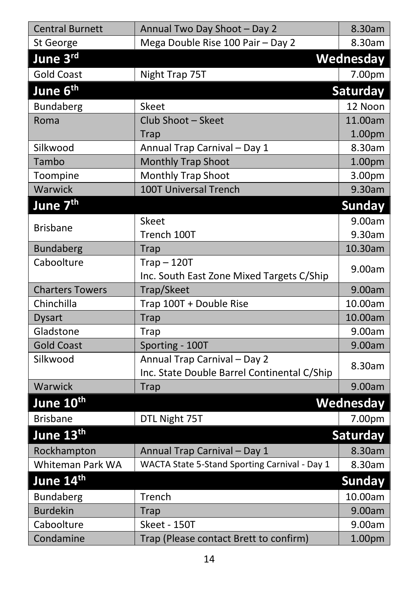| <b>Central Burnett</b>       | Annual Two Day Shoot - Day 2                                                | 8.30am          |
|------------------------------|-----------------------------------------------------------------------------|-----------------|
| St George                    | Mega Double Rise 100 Pair - Day 2                                           | 8.30am          |
| June 3rd                     |                                                                             | Wednesday       |
| <b>Gold Coast</b>            | Night Trap 75T                                                              | 7.00pm          |
| June 6 <sup>th</sup>         |                                                                             | Saturday        |
| <b>Bundaberg</b>             | Skeet                                                                       | 12 Noon         |
| Roma                         | Club Shoot - Skeet                                                          | 11.00am         |
|                              | <b>Trap</b>                                                                 | 1.00pm          |
| Silkwood                     | Annual Trap Carnival - Day 1                                                | 8.30am          |
| Tambo                        | Monthly Trap Shoot                                                          | 1.00pm          |
| Toompine                     | Monthly Trap Shoot                                                          | 3.00pm          |
| Warwick                      | <b>100T Universal Trench</b>                                                | 9.30am          |
| June 7 <sup>th</sup>         |                                                                             | <b>Sunday</b>   |
|                              | <b>Skeet</b>                                                                | 9.00am          |
| <b>Brisbane</b>              | Trench 100T                                                                 | 9.30am          |
| <b>Bundaberg</b>             | <b>Trap</b>                                                                 | 10.30am         |
| Caboolture                   | $Trap - 120T$                                                               | 9.00am          |
|                              | Inc. South East Zone Mixed Targets C/Ship                                   |                 |
| <b>Charters Towers</b>       | Trap/Skeet                                                                  | 9.00am          |
| Chinchilla                   | Trap 100T + Double Rise                                                     | 10.00am         |
| <b>Dysart</b>                | <b>Trap</b>                                                                 | 10.00am         |
| Gladstone                    | Trap                                                                        | 9.00am          |
| <b>Gold Coast</b>            | Sporting - 100T                                                             | 9.00am          |
| Silkwood                     | Annual Trap Carnival - Day 2<br>Inc. State Double Barrel Continental C/Ship | 8.30am          |
| Warwick                      | <b>Trap</b>                                                                 | 9.00am          |
| June 10 <sup>th</sup>        |                                                                             | Wednesday       |
| <b>Brisbane</b>              | DTL Night 75T                                                               | 7.00pm          |
| June 13 <sup>th</sup>        |                                                                             | <b>Saturday</b> |
| Rockhampton                  | Annual Trap Carnival - Day 1                                                | 8.30am          |
| Whiteman Park WA             | WACTA State 5-Stand Sporting Carnival - Day 1                               | 8.30am          |
| June 14 <sup>th</sup>        |                                                                             | <b>Sunday</b>   |
|                              | Trench                                                                      | 10.00am         |
| Bundaberg<br><b>Burdekin</b> |                                                                             | 9.00am          |
| Caboolture                   | <b>Trap</b><br>Skeet - 150T                                                 |                 |
|                              |                                                                             | 9.00am          |
| Condamine                    | Trap (Please contact Brett to confirm)                                      | 1.00pm          |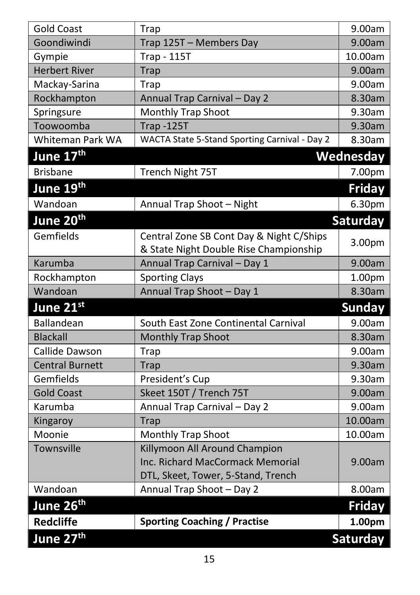| <b>Gold Coast</b>      | <b>Trap</b>                                   | 9.00am        |
|------------------------|-----------------------------------------------|---------------|
| Goondiwindi            | Trap 125T - Members Day                       | 9.00am        |
| Gympie                 | <b>Trap - 115T</b>                            | 10.00am       |
| <b>Herbert River</b>   | <b>Trap</b>                                   | 9.00am        |
| Mackay-Sarina          | Trap                                          | 9.00am        |
| Rockhampton            | Annual Trap Carnival - Day 2                  | 8.30am        |
| Springsure             | <b>Monthly Trap Shoot</b>                     | 9.30am        |
| Toowoomba              | <b>Trap -125T</b>                             | 9.30am        |
| Whiteman Park WA       | WACTA State 5-Stand Sporting Carnival - Day 2 | 8.30am        |
| June 17 <sup>th</sup>  |                                               | Wednesday     |
| <b>Brisbane</b>        | Trench Night 75T                              | 7.00pm        |
| June 19 <sup>th</sup>  |                                               | <b>Friday</b> |
| Wandoan                | Annual Trap Shoot - Night                     | 6.30pm        |
| June 20 <sup>th</sup>  |                                               | Saturday      |
| Gemfields              | Central Zone SB Cont Day & Night C/Ships      |               |
|                        | & State Night Double Rise Championship        | 3.00pm        |
| Karumba                | Annual Trap Carnival - Day 1                  | 9.00am        |
| Rockhampton            | <b>Sporting Clays</b>                         | 1.00pm        |
| Wandoan                | Annual Trap Shoot - Day 1                     | 8.30am        |
| June 21st              |                                               | <b>Sunday</b> |
| Ballandean             | South East Zone Continental Carnival          | 9.00am        |
| <b>Blackall</b>        | <b>Monthly Trap Shoot</b>                     | 8.30am        |
| Callide Dawson         | <b>Trap</b>                                   | 9.00am        |
| <b>Central Burnett</b> | <b>Trap</b>                                   | 9.30am        |
| Gemfields              | President's Cup                               | 9.30am        |
| <b>Gold Coast</b>      | Skeet 150T / Trench 75T                       | 9.00am        |
| Karumba                | Annual Trap Carnival - Day 2                  | 9.00am        |
| Kingaroy               | <b>Trap</b>                                   | 10.00am       |
| Moonie                 | Monthly Trap Shoot                            | 10.00am       |
| Townsville             | Killymoon All Around Champion                 |               |
|                        | Inc. Richard MacCormack Memorial              | 9.00am        |
|                        | DTL, Skeet, Tower, 5-Stand, Trench            |               |
| Wandoan                | Annual Trap Shoot - Day 2                     | 8.00am        |
| June 26 <sup>th</sup>  |                                               | <b>Friday</b> |
| <b>Redcliffe</b>       | <b>Sporting Coaching / Practise</b>           | 1.00pm        |
| June 27th              |                                               | Saturday      |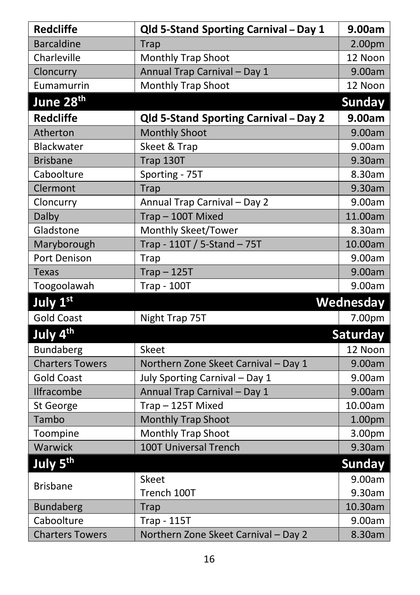| <b>Redcliffe</b>       | Qld 5-Stand Sporting Carnival - Day 1 | 9.00am          |
|------------------------|---------------------------------------|-----------------|
| <b>Barcaldine</b>      | Trap                                  | 2.00pm          |
| Charleville            | Monthly Trap Shoot                    | 12 Noon         |
| Cloncurry              | Annual Trap Carnival - Day 1          | 9.00am          |
| Eumamurrin             | Monthly Trap Shoot                    | 12 Noon         |
| June 28 <sup>th</sup>  |                                       | <b>Sunday</b>   |
| <b>Redcliffe</b>       | Qld 5-Stand Sporting Carnival - Day 2 | 9.00am          |
| Atherton               | <b>Monthly Shoot</b>                  | 9.00am          |
| Blackwater             | Skeet & Trap                          | 9.00am          |
| <b>Brisbane</b>        | Trap 130T                             | 9.30am          |
| Caboolture             | Sporting - 75T                        | 8.30am          |
| Clermont               | Trap                                  | 9.30am          |
| Cloncurry              | Annual Trap Carnival - Day 2          | 9.00am          |
| Dalby                  | Trap-100T Mixed                       | 11.00am         |
| Gladstone              | Monthly Skeet/Tower                   | 8.30am          |
| Maryborough            | Trap - 110T / 5-Stand - 75T           | 10.00am         |
| Port Denison           | Trap                                  | 9.00am          |
| <b>Texas</b>           | $Trap - 125T$                         | 9.00am          |
| Toogoolawah            | <b>Trap - 100T</b>                    | 9.00am          |
| July 1st               |                                       | Wednesday       |
| <b>Gold Coast</b>      | Night Trap 75T                        | 7.00pm          |
| July 4 <sup>th</sup>   |                                       | <b>Saturday</b> |
| Bundaberg              | Skeet                                 | 12 Noon         |
| <b>Charters Towers</b> | Northern Zone Skeet Carnival - Day 1  | 9.00am          |
| <b>Gold Coast</b>      | July Sporting Carnival - Day 1        | 9.00am          |
| Ilfracombe             | Annual Trap Carnival - Day 1          | 9.00am          |
| St George              | Trap-125T Mixed                       | 10.00am         |
| Tambo                  | <b>Monthly Trap Shoot</b>             | 1.00pm          |
| Toompine               | Monthly Trap Shoot                    | 3.00pm          |
| Warwick                | 100T Universal Trench                 | 9.30am          |
| July 5 <sup>th</sup>   |                                       | <b>Sunday</b>   |
|                        | <b>Skeet</b>                          | 9.00am          |
| <b>Brisbane</b>        | Trench 100T                           | 9.30am          |
| <b>Bundaberg</b>       | <b>Trap</b>                           | 10.30am         |
| Caboolture             | <b>Trap - 115T</b>                    | 9.00am          |
| <b>Charters Towers</b> | Northern Zone Skeet Carnival - Day 2  | 8.30am          |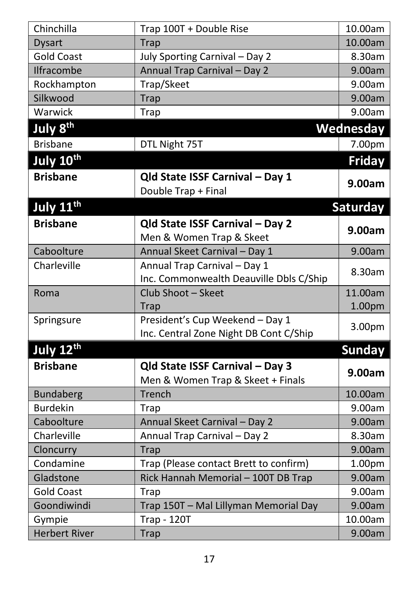| Chinchilla            | Trap 100T + Double Rise                                                 | 10.00am          |
|-----------------------|-------------------------------------------------------------------------|------------------|
| <b>Dysart</b>         | Trap                                                                    | 10.00am          |
| <b>Gold Coast</b>     | July Sporting Carnival - Day 2                                          | 8.30am           |
| <b>Ilfracombe</b>     | Annual Trap Carnival - Day 2                                            | 9.00am           |
| Rockhampton           | Trap/Skeet                                                              | 9.00am           |
| Silkwood              | Trap                                                                    | 9.00am           |
| Warwick               | <b>Trap</b>                                                             | 9.00am           |
| July 8 <sup>th</sup>  |                                                                         | <b>Wednesday</b> |
| <b>Brisbane</b>       | DTL Night 75T                                                           | 7.00pm           |
| July 10th             |                                                                         | Friday           |
| <b>Brisbane</b>       | Qld State ISSF Carnival - Day 1<br>Double Trap + Final                  | 9.00am           |
| July 11 <sup>th</sup> |                                                                         | Saturday         |
| <b>Brisbane</b>       | Qld State ISSF Carnival - Day 2<br>Men & Women Trap & Skeet             | 9.00am           |
| Caboolture            | Annual Skeet Carnival - Day 1                                           | 9.00am           |
| Charleville           | Annual Trap Carnival - Day 1<br>Inc. Commonwealth Deauville Dbls C/Ship | 8.30am           |
| Roma                  | Club Shoot - Skeet                                                      | 11.00am          |
|                       | <b>Trap</b>                                                             | 1.00pm           |
| Springsure            | President's Cup Weekend - Day 1                                         | 3.00pm           |
|                       | Inc. Central Zone Night DB Cont C/Ship                                  |                  |
| July 12 <sup>th</sup> |                                                                         | <b>Sunday</b>    |
| <b>Brisbane</b>       | Qld State ISSF Carnival - Day 3<br>Men & Women Trap & Skeet + Finals    | 9.00am           |
| <b>Bundaberg</b>      | Trench                                                                  | 10.00am          |
| <b>Burdekin</b>       | <b>Trap</b>                                                             | 9.00am           |
| Caboolture            | Annual Skeet Carnival - Day 2                                           | 9.00am           |
| Charleville           | Annual Trap Carnival - Day 2                                            | 8.30am           |
| Cloncurry             | <b>Trap</b>                                                             | 9.00am           |
| Condamine             | Trap (Please contact Brett to confirm)                                  | 1.00pm           |
| Gladstone             | Rick Hannah Memorial - 100T DB Trap                                     | 9.00am           |
| <b>Gold Coast</b>     | <b>Trap</b>                                                             | 9.00am           |
| Goondiwindi           | Trap 150T - Mal Lillyman Memorial Day                                   | 9.00am           |
| Gympie                | <b>Trap - 120T</b>                                                      | 10.00am          |
| <b>Herbert River</b>  | <b>Trap</b>                                                             | 9.00am           |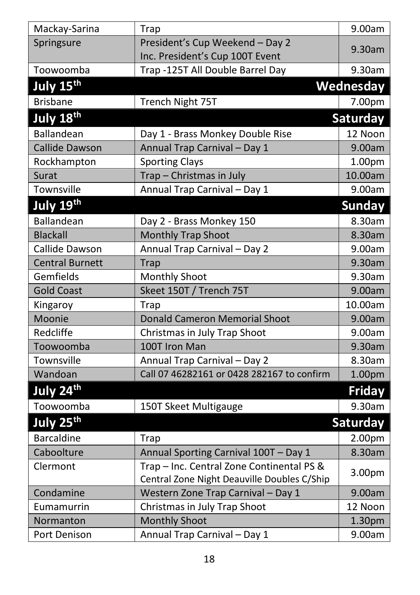| Mackay-Sarina          | Trap                                                                                     | 9.00am        |
|------------------------|------------------------------------------------------------------------------------------|---------------|
| Springsure             | President's Cup Weekend - Day 2<br>Inc. President's Cup 100T Event                       | 9.30am        |
| Toowoomba              | Trap -125T All Double Barrel Day                                                         | 9.30am        |
| July 15 <sup>th</sup>  |                                                                                          | Wednesday     |
| <b>Brisbane</b>        | Trench Night 75T                                                                         | 7.00pm        |
| July 18 <sup>th</sup>  |                                                                                          | Saturday      |
| Ballandean             | Day 1 - Brass Monkey Double Rise                                                         | 12 Noon       |
| <b>Callide Dawson</b>  | Annual Trap Carnival - Day 1                                                             | 9.00am        |
| Rockhampton            | <b>Sporting Clays</b>                                                                    | 1.00pm        |
| Surat                  | Trap - Christmas in July                                                                 | 10.00am       |
| Townsville             | Annual Trap Carnival - Day 1                                                             | 9.00am        |
| July 19 <sup>th</sup>  |                                                                                          | <b>Sunday</b> |
| Ballandean             | Day 2 - Brass Monkey 150                                                                 | 8.30am        |
| <b>Blackall</b>        | Monthly Trap Shoot                                                                       | 8.30am        |
| Callide Dawson         | Annual Trap Carnival - Day 2                                                             | 9.00am        |
| <b>Central Burnett</b> | <b>Trap</b>                                                                              | 9.30am        |
| Gemfields              | Monthly Shoot                                                                            | 9.30am        |
| <b>Gold Coast</b>      | Skeet 150T / Trench 75T                                                                  | 9.00am        |
| Kingaroy               | Trap                                                                                     | 10.00am       |
| Moonie                 | <b>Donald Cameron Memorial Shoot</b>                                                     | 9.00am        |
| Redcliffe              | Christmas in July Trap Shoot                                                             | 9.00am        |
| Toowoomba              | 100T Iron Man                                                                            | 9.30am        |
| Townsville             | Annual Trap Carnival - Day 2                                                             | 8.30am        |
| Wandoan                | Call 07 46282161 or 0428 282167 to confirm                                               | 1.00pm        |
| July 24th              |                                                                                          | <b>Friday</b> |
| Toowoomba              | 150T Skeet Multigauge                                                                    | 9.30am        |
| July 25 <sup>th</sup>  |                                                                                          | Saturday      |
| <b>Barcaldine</b>      | Trap                                                                                     | 2.00pm        |
| Caboolture             | Annual Sporting Carnival 100T - Day 1                                                    | 8.30am        |
| Clermont               | Trap - Inc. Central Zone Continental PS &<br>Central Zone Night Deauville Doubles C/Ship | 3.00pm        |
| Condamine              | Western Zone Trap Carnival - Day 1                                                       | 9.00am        |
| Eumamurrin             | Christmas in July Trap Shoot                                                             | 12 Noon       |
| Normanton              | <b>Monthly Shoot</b>                                                                     | 1.30pm        |
| Port Denison           | Annual Trap Carnival - Day 1                                                             | 9.00am        |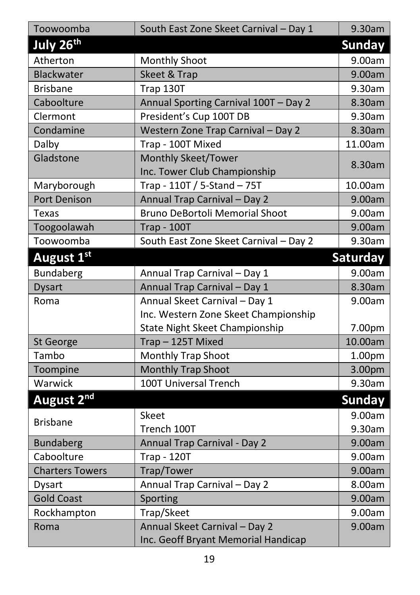| Toowoomba              | South East Zone Skeet Carnival - Day 1 | 9.30am          |
|------------------------|----------------------------------------|-----------------|
| July 26 <sup>th</sup>  |                                        | <b>Sunday</b>   |
| Atherton               | <b>Monthly Shoot</b>                   | 9.00am          |
| <b>Blackwater</b>      | Skeet & Trap                           | 9.00am          |
| <b>Brisbane</b>        | Trap 130T                              | 9.30am          |
| Caboolture             | Annual Sporting Carnival 100T - Day 2  | 8.30am          |
| Clermont               | President's Cup 100T DB                | 9.30am          |
| Condamine              | Western Zone Trap Carnival - Day 2     | 8.30am          |
| Dalby                  | Trap - 100T Mixed                      | 11.00am         |
| Gladstone              | <b>Monthly Skeet/Tower</b>             | 8.30am          |
|                        | Inc. Tower Club Championship           |                 |
| Maryborough            | Trap - 110T / 5-Stand - 75T            | 10.00am         |
| <b>Port Denison</b>    | Annual Trap Carnival - Day 2           | 9.00am          |
| Texas                  | <b>Bruno DeBortoli Memorial Shoot</b>  | 9.00am          |
| Toogoolawah            | <b>Trap - 100T</b>                     | 9.00am          |
| Toowoomba              | South East Zone Skeet Carnival - Day 2 | 9.30am          |
| August 1st             |                                        | <b>Saturday</b> |
| Bundaberg              | Annual Trap Carnival - Day 1           | 9.00am          |
| <b>Dysart</b>          | Annual Trap Carnival - Day 1           | 8.30am          |
| Roma                   | Annual Skeet Carnival - Day 1          | 9.00am          |
|                        | Inc. Western Zone Skeet Championship   |                 |
|                        | State Night Skeet Championship         | 7.00pm          |
| St George              | Trap-125T Mixed                        | 10.00am         |
| Tambo                  | Monthly Trap Shoot                     | 1.00pm          |
| Toompine               | <b>Monthly Trap Shoot</b>              | 3.00pm          |
| Warwick                | 100T Universal Trench                  | 9.30am          |
| August 2 <sup>nd</sup> |                                        | <b>Sunday</b>   |
|                        | Skeet                                  | 9.00am          |
| <b>Brisbane</b>        | Trench 100T                            | 9.30am          |
| <b>Bundaberg</b>       | Annual Trap Carnival - Day 2           | 9.00am          |
| Caboolture             | <b>Trap - 120T</b>                     | 9.00am          |
| <b>Charters Towers</b> | Trap/Tower                             | 9.00am          |
| <b>Dysart</b>          | Annual Trap Carnival - Day 2           | 8.00am          |
| <b>Gold Coast</b>      | Sporting                               | 9.00am          |
| Rockhampton            | Trap/Skeet                             | 9.00am          |
| Roma                   | Annual Skeet Carnival - Day 2          | 9.00am          |
|                        | Inc. Geoff Bryant Memorial Handicap    |                 |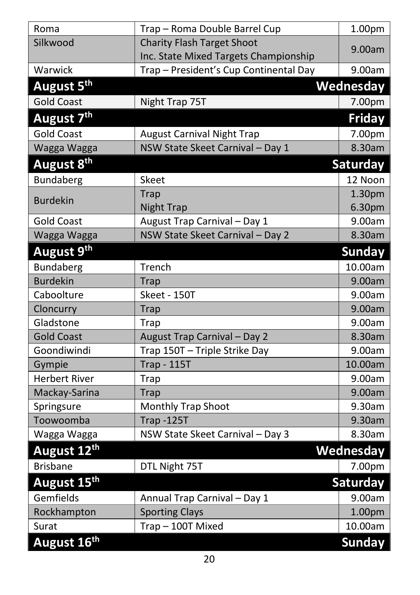| Roma                    | Trap - Roma Double Barrel Cup          | 1.00pm             |
|-------------------------|----------------------------------------|--------------------|
| Silkwood                | <b>Charity Flash Target Shoot</b>      | 9.00am             |
|                         | Inc. State Mixed Targets Championship  |                    |
| Warwick                 | Trap - President's Cup Continental Day | 9.00am             |
| August 5th              |                                        | Wednesday          |
| <b>Gold Coast</b>       | Night Trap 75T                         | 7.00pm             |
| August 7 <sup>th</sup>  |                                        | <b>Friday</b>      |
| <b>Gold Coast</b>       | <b>August Carnival Night Trap</b>      | 7.00pm             |
| Wagga Wagga             | NSW State Skeet Carnival - Day 1       | 8.30am             |
| August 8 <sup>th</sup>  |                                        | <b>Saturday</b>    |
| <b>Bundaberg</b>        | Skeet                                  | 12 Noon            |
|                         | <b>Trap</b>                            | 1.30 <sub>pm</sub> |
| <b>Burdekin</b>         | <b>Night Trap</b>                      | 6.30pm             |
| <b>Gold Coast</b>       | August Trap Carnival - Day 1           | 9.00am             |
| Wagga Wagga             | NSW State Skeet Carnival - Day 2       | 8.30am             |
| August 9 <sup>th</sup>  |                                        | <b>Sunday</b>      |
| Bundaberg               | Trench                                 | 10.00am            |
| <b>Burdekin</b>         | <b>Trap</b>                            | 9.00am             |
| Caboolture              | Skeet - 150T                           | 9.00am             |
| Cloncurry               | <b>Trap</b>                            | 9.00am             |
| Gladstone               | Trap                                   | 9.00am             |
| <b>Gold Coast</b>       | August Trap Carnival - Day 2           | 8.30am             |
| Goondiwindi             | Trap 150T - Triple Strike Day          | 9.00am             |
| Gympie                  | <b>Trap - 115T</b>                     | 10.00am            |
| <b>Herbert River</b>    | Trap                                   | 9.00am             |
| Mackay-Sarina           | <b>Trap</b>                            | 9.00am             |
| Springsure              | Monthly Trap Shoot                     | 9.30am             |
| Toowoomba               | <b>Trap -125T</b>                      | 9.30am             |
| Wagga Wagga             | NSW State Skeet Carnival - Day 3       | 8.30am             |
| August 12th             |                                        | Wednesday          |
| <b>Brisbane</b>         | DTL Night 75T                          | 7.00pm             |
| August 15 <sup>th</sup> |                                        | Saturday           |
| Gemfields               | Annual Trap Carnival - Day 1           | 9.00am             |
| Rockhampton             | <b>Sporting Clays</b>                  | 1.00pm             |
| Surat                   | Trap-100T Mixed                        | 10.00am            |
| August 16th             |                                        | <b>Sunday</b>      |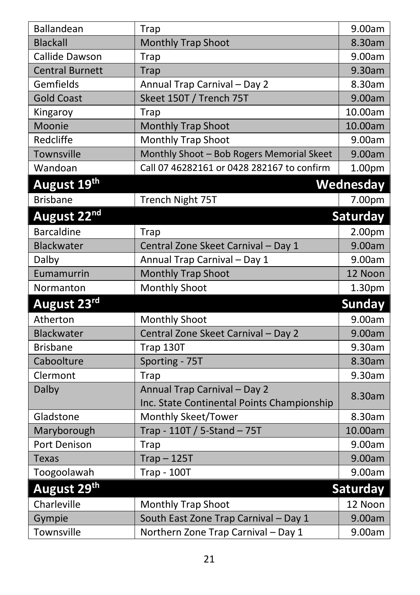| Ballandean              | Trap                                                                       | 9.00am        |
|-------------------------|----------------------------------------------------------------------------|---------------|
| <b>Blackall</b>         | <b>Monthly Trap Shoot</b>                                                  | 8.30am        |
| Callide Dawson          | Trap                                                                       | 9.00am        |
| <b>Central Burnett</b>  | Trap                                                                       | 9.30am        |
| Gemfields               | Annual Trap Carnival - Day 2                                               | 8.30am        |
| <b>Gold Coast</b>       | Skeet 150T / Trench 75T                                                    | 9.00am        |
| Kingaroy                | Trap                                                                       | 10.00am       |
| Moonie                  | <b>Monthly Trap Shoot</b>                                                  | 10.00am       |
| Redcliffe               | Monthly Trap Shoot                                                         | 9.00am        |
| Townsville              | Monthly Shoot - Bob Rogers Memorial Skeet                                  | 9.00am        |
| Wandoan                 | Call 07 46282161 or 0428 282167 to confirm                                 | 1.00pm        |
| August 19th             |                                                                            | Wednesday     |
| <b>Brisbane</b>         | Trench Night 75T                                                           | 7.00pm        |
| August 22 <sup>nd</sup> |                                                                            | Saturday      |
| <b>Barcaldine</b>       | Trap                                                                       | 2.00pm        |
| Blackwater              | Central Zone Skeet Carnival - Day 1                                        | 9.00am        |
| Dalby                   | Annual Trap Carnival - Day 1                                               | 9.00am        |
| Eumamurrin              | <b>Monthly Trap Shoot</b>                                                  | 12 Noon       |
| Normanton               | <b>Monthly Shoot</b>                                                       | 1.30pm        |
| August 23rd             |                                                                            | <b>Sunday</b> |
| Atherton                | <b>Monthly Shoot</b>                                                       | 9.00am        |
| Blackwater              | Central Zone Skeet Carnival - Day 2                                        | 9.00am        |
| <b>Brisbane</b>         | Trap 130T                                                                  | 9.30am        |
| Caboolture              | Sporting - 75T                                                             | 8.30am        |
| Clermont                | Trap                                                                       | 9.30am        |
| Dalby                   | Annual Trap Carnival - Day 2<br>Inc. State Continental Points Championship | 8.30am        |
| Gladstone               | Monthly Skeet/Tower                                                        | 8.30am        |
| Maryborough             | Trap - 110T / 5-Stand - 75T                                                | 10.00am       |
| Port Denison            | <b>Trap</b>                                                                | 9.00am        |
| <b>Texas</b>            | $Trap - 125T$                                                              | 9.00am        |
| Toogoolawah             | <b>Trap - 100T</b>                                                         | 9.00am        |
| August 29 <sup>th</sup> |                                                                            | Saturday      |
| Charleville             | <b>Monthly Trap Shoot</b>                                                  | 12 Noon       |
| Gympie                  | South East Zone Trap Carnival - Day 1                                      | 9.00am        |
| Townsville              | Northern Zone Trap Carnival - Day 1                                        | 9.00am        |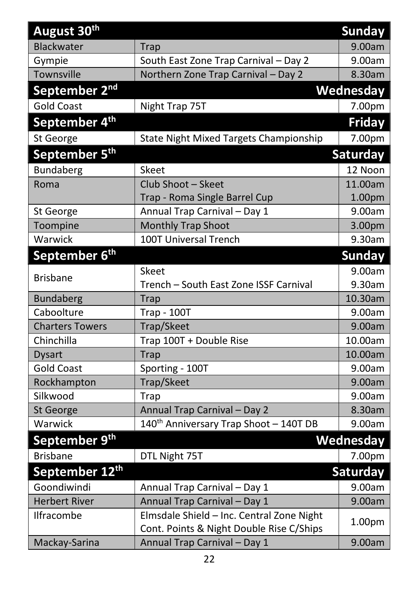| August 30 <sup>th</sup>   |                                                    | <b>Sunday</b>    |
|---------------------------|----------------------------------------------------|------------------|
| Blackwater                | <b>Trap</b>                                        | 9.00am           |
| Gympie                    | South East Zone Trap Carnival - Day 2              | 9.00am           |
| Townsville                | Northern Zone Trap Carnival - Day 2                | 8.30am           |
| September 2 <sup>nd</sup> |                                                    | <b>Wednesday</b> |
| <b>Gold Coast</b>         | Night Trap 75T                                     | 7.00pm           |
| September 4 <sup>th</sup> |                                                    | <b>Friday</b>    |
| St George                 | State Night Mixed Targets Championship             | 7.00pm           |
| September 5 <sup>th</sup> |                                                    | Saturday         |
| Bundaberg                 | <b>Skeet</b>                                       | 12 Noon          |
| Roma                      | Club Shoot - Skeet                                 | 11.00am          |
|                           | Trap - Roma Single Barrel Cup                      | 1.00pm           |
| St George                 | Annual Trap Carnival - Day 1                       | 9.00am           |
| Toompine                  | Monthly Trap Shoot                                 | 3.00pm           |
| Warwick                   | 100T Universal Trench                              | 9.30am           |
| September 6 <sup>th</sup> |                                                    | <b>Sunday</b>    |
|                           | <b>Skeet</b>                                       | 9.00am           |
| <b>Brisbane</b>           | Trench - South East Zone ISSF Carnival             | 9.30am           |
| <b>Bundaberg</b>          | <b>Trap</b>                                        | 10.30am          |
| Caboolture                | <b>Trap - 100T</b>                                 | 9.00am           |
| <b>Charters Towers</b>    | Trap/Skeet                                         | 9.00am           |
| Chinchilla                | Trap 100T + Double Rise                            | 10.00am          |
| <b>Dysart</b>             | <b>Trap</b>                                        | 10.00am          |
| <b>Gold Coast</b>         | Sporting - 100T                                    | 9.00am           |
| Rockhampton               | Trap/Skeet                                         | 9.00am           |
| Silkwood                  | Trap                                               | 9.00am           |
| St George                 | Annual Trap Carnival - Day 2                       | 8.30am           |
| Warwick                   | 140 <sup>th</sup> Anniversary Trap Shoot - 140T DB | 9.00am           |
| September 9 <sup>th</sup> |                                                    | Wednesday        |
| <b>Brisbane</b>           | DTL Night 75T                                      | 7.00pm           |
| September 12th            |                                                    | <b>Saturday</b>  |
| Goondiwindi               | Annual Trap Carnival - Day 1                       | 9.00am           |
| <b>Herbert River</b>      | Annual Trap Carnival - Day 1                       | 9.00am           |
| Ilfracombe                | Elmsdale Shield - Inc. Central Zone Night          |                  |
|                           | Cont. Points & Night Double Rise C/Ships           | 1.00pm           |
| Mackay-Sarina             | Annual Trap Carnival - Day 1                       | 9.00am           |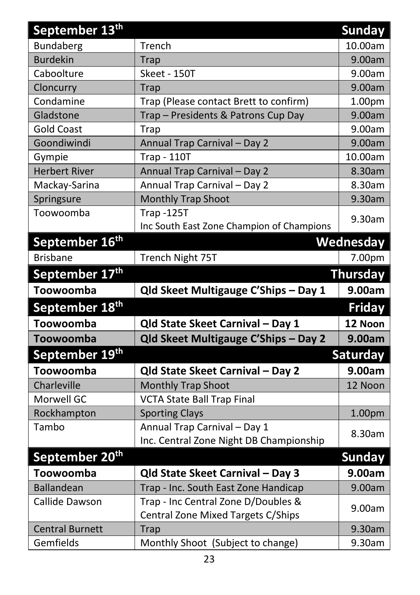| September 13 <sup>th</sup> |                                           | <b>Sunday</b>      |
|----------------------------|-------------------------------------------|--------------------|
| <b>Bundaberg</b>           | Trench                                    | 10.00am            |
| <b>Burdekin</b>            | Trap                                      | 9.00am             |
| Caboolture                 | Skeet - 150T                              | 9.00am             |
| Cloncurry                  | <b>Trap</b>                               | 9.00am             |
| Condamine                  | Trap (Please contact Brett to confirm)    | 1.00 <sub>pm</sub> |
| Gladstone                  | Trap - Presidents & Patrons Cup Day       | 9.00am             |
| <b>Gold Coast</b>          | <b>Trap</b>                               | 9.00am             |
| Goondiwindi                | Annual Trap Carnival - Day 2              | 9.00am             |
| Gympie                     | <b>Trap - 110T</b>                        | 10.00am            |
| <b>Herbert River</b>       | Annual Trap Carnival - Day 2              | 8.30am             |
| Mackay-Sarina              | Annual Trap Carnival - Day 2              | 8.30am             |
| Springsure                 | <b>Monthly Trap Shoot</b>                 | 9.30am             |
| Toowoomba                  | <b>Trap-125T</b>                          | 9.30am             |
|                            | Inc South East Zone Champion of Champions |                    |
| September 16 <sup>th</sup> |                                           | Wednesday          |
| <b>Brisbane</b>            | Trench Night 75T                          | 7.00pm             |
| September 17th             |                                           | <b>Thursday</b>    |
| Toowoomba                  | Qld Skeet Multigauge C'Ships - Day 1      | 9.00am             |
| September 18 <sup>th</sup> |                                           | <b>Friday</b>      |
| Toowoomba                  | Qld State Skeet Carnival - Day 1          | 12 Noon            |
| Toowoomba                  | Qld Skeet Multigauge C'Ships - Day 2      | 9.00am             |
| September 19th             |                                           | <b>Saturday</b>    |
| Toowoomba                  | Qld State Skeet Carnival - Day 2          | 9.00am             |
| Charleville                | <b>Monthly Trap Shoot</b>                 | 12 Noon            |
| Morwell GC                 | <b>VCTA State Ball Trap Final</b>         |                    |
| Rockhampton                | <b>Sporting Clays</b>                     | 1.00pm             |
| Tambo                      | Annual Trap Carnival - Day 1              | 8.30am             |
|                            | Inc. Central Zone Night DB Championship   |                    |
| September 20 <sup>th</sup> |                                           | Sunday             |
| Toowoomba                  | Qld State Skeet Carnival - Day 3          | 9.00am             |
| <b>Ballandean</b>          | Trap - Inc. South East Zone Handicap      | 9.00am             |
| Callide Dawson             | Trap - Inc Central Zone D/Doubles &       |                    |
|                            | Central Zone Mixed Targets C/Ships        | 9.00am             |
| <b>Central Burnett</b>     | <b>Trap</b>                               | 9.30am             |
| Gemfields                  | Monthly Shoot (Subject to change)         | 9.30am             |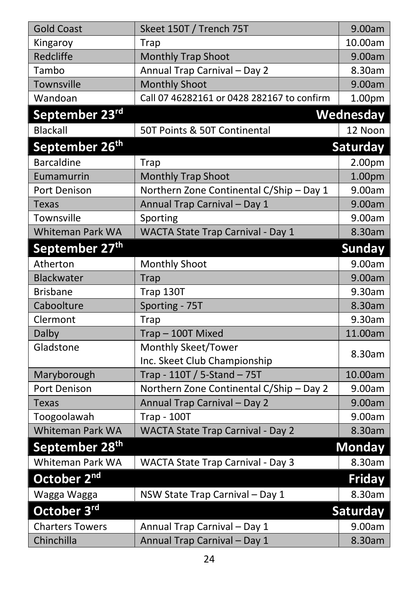| <b>Gold Coast</b>          | Skeet 150T / Trench 75T                    | 9.00am        |
|----------------------------|--------------------------------------------|---------------|
| Kingaroy                   | Trap                                       | 10.00am       |
| Redcliffe                  | Monthly Trap Shoot                         | 9.00am        |
| Tambo                      | Annual Trap Carnival - Day 2               | 8.30am        |
| Townsville                 | <b>Monthly Shoot</b>                       | 9.00am        |
| Wandoan                    | Call 07 46282161 or 0428 282167 to confirm | 1.00pm        |
| September 23rd             |                                            | Wednesday     |
| <b>Blackall</b>            | 50T Points & 50T Continental               | 12 Noon       |
| September 26 <sup>th</sup> |                                            | Saturday      |
| <b>Barcaldine</b>          | <b>Trap</b>                                | 2.00pm        |
| Eumamurrin                 | <b>Monthly Trap Shoot</b>                  | 1.00pm        |
| Port Denison               | Northern Zone Continental C/Ship - Day 1   | 9.00am        |
| <b>Texas</b>               | Annual Trap Carnival - Day 1               | 9.00am        |
| Townsville                 | Sporting                                   | 9.00am        |
| <b>Whiteman Park WA</b>    | WACTA State Trap Carnival - Day 1          | 8.30am        |
| September 27 <sup>th</sup> |                                            | <b>Sunday</b> |
| Atherton                   | <b>Monthly Shoot</b>                       | 9.00am        |
| Blackwater                 | <b>Trap</b>                                | 9.00am        |
| <b>Brisbane</b>            | Trap 130T                                  | 9.30am        |
| Caboolture                 | Sporting - 75T                             | 8.30am        |
| Clermont                   | <b>Trap</b>                                | 9.30am        |
| Dalby                      | Trap-100T Mixed                            | 11.00am       |
| Gladstone                  | Monthly Skeet/Tower                        | 8.30am        |
|                            | Inc. Skeet Club Championship               |               |
| Maryborough                | Trap - 110T / 5-Stand - 75T                | 10.00am       |
| Port Denison               | Northern Zone Continental C/Ship - Day 2   | 9.00am        |
| <b>Texas</b>               | Annual Trap Carnival - Day 2               | 9.00am        |
| Toogoolawah                | <b>Trap - 100T</b>                         | 9.00am        |
| Whiteman Park WA           | <b>WACTA State Trap Carnival - Day 2</b>   | 8.30am        |
| September 28 <sup>th</sup> |                                            | <b>Monday</b> |
| Whiteman Park WA           | WACTA State Trap Carnival - Day 3          | 8.30am        |
| October 2 <sup>nd</sup>    |                                            | <b>Friday</b> |
| Wagga Wagga                | NSW State Trap Carnival - Day 1            | 8.30am        |
| October 3rd                |                                            | Saturday      |
| <b>Charters Towers</b>     | Annual Trap Carnival - Day 1               | 9.00am        |
| Chinchilla                 | Annual Trap Carnival - Day 1               | 8.30am        |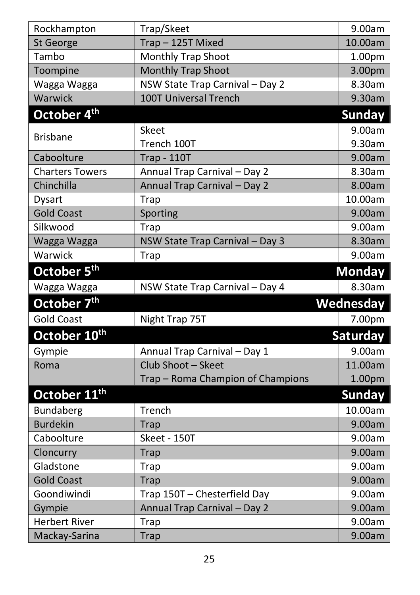| Rockhampton              | Trap/Skeet                        | 9.00am        |
|--------------------------|-----------------------------------|---------------|
| St George                | Trap-125T Mixed                   | 10.00am       |
| Tambo                    | <b>Monthly Trap Shoot</b>         | 1.00pm        |
| Toompine                 | Monthly Trap Shoot                | 3.00pm        |
| Wagga Wagga              | NSW State Trap Carnival - Day 2   | 8.30am        |
| Warwick                  | <b>100T Universal Trench</b>      | 9.30am        |
| October 4 <sup>th</sup>  |                                   | <b>Sunday</b> |
|                          | Skeet                             | 9.00am        |
| <b>Brisbane</b>          | Trench 100T                       | 9.30am        |
| Caboolture               | <b>Trap - 110T</b>                | 9.00am        |
| <b>Charters Towers</b>   | Annual Trap Carnival - Day 2      | 8.30am        |
| Chinchilla               | Annual Trap Carnival - Day 2      | 8.00am        |
| <b>Dysart</b>            | <b>Trap</b>                       | 10.00am       |
| <b>Gold Coast</b>        | Sporting                          | 9.00am        |
| Silkwood                 | Trap                              | 9.00am        |
| Wagga Wagga              | NSW State Trap Carnival - Day 3   | 8.30am        |
| Warwick                  | <b>Trap</b>                       | 9.00am        |
| October 5 <sup>th</sup>  |                                   | <b>Monday</b> |
| Wagga Wagga              | NSW State Trap Carnival - Day 4   | 8.30am        |
| October 7 <sup>th</sup>  |                                   | Wednesday     |
| <b>Gold Coast</b>        | Night Trap 75T                    | 7.00pm        |
| October 10th             |                                   | Saturday      |
| Gympie                   | Annual Trap Carnival - Day 1      | 9.00am        |
| Roma                     | Club Shoot - Skeet                | 11.00am       |
|                          | Trap - Roma Champion of Champions | 1.00pm        |
| October 11 <sup>th</sup> |                                   | Sunday        |
| Bundaberg                | Trench                            | 10.00am       |
| <b>Burdekin</b>          | <b>Trap</b>                       | 9.00am        |
| Caboolture               | Skeet - 150T                      | 9.00am        |
| Cloncurry                | <b>Trap</b>                       | 9.00am        |
| Gladstone                | <b>Trap</b>                       | 9.00am        |
| <b>Gold Coast</b>        | <b>Trap</b>                       | 9.00am        |
| Goondiwindi              | Trap 150T - Chesterfield Day      | 9.00am        |
| Gympie                   | Annual Trap Carnival - Day 2      | 9.00am        |
| <b>Herbert River</b>     | Trap                              | 9.00am        |
| Mackay-Sarina            | <b>Trap</b>                       | 9.00am        |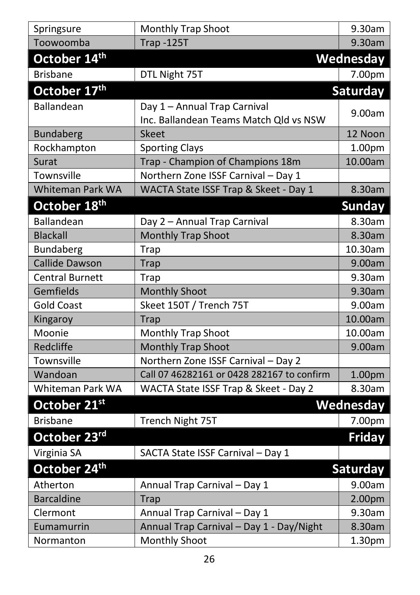| Springsure               | <b>Monthly Trap Shoot</b>                                              | 9.30am          |
|--------------------------|------------------------------------------------------------------------|-----------------|
| Toowoomba                | <b>Trap -125T</b>                                                      | 9.30am          |
| October 14th             |                                                                        | Wednesday       |
| <b>Brisbane</b>          | DTL Night 75T                                                          | 7.00pm          |
| October 17th             |                                                                        | Saturday        |
| Ballandean               | Day 1 - Annual Trap Carnival<br>Inc. Ballandean Teams Match Qld vs NSW | 9.00am          |
| <b>Bundaberg</b>         | <b>Skeet</b>                                                           | 12 Noon         |
| Rockhampton              | <b>Sporting Clays</b>                                                  | 1.00pm          |
| Surat                    | Trap - Champion of Champions 18m                                       | 10.00am         |
| Townsville               | Northern Zone ISSF Carnival - Day 1                                    |                 |
| Whiteman Park WA         | WACTA State ISSF Trap & Skeet - Day 1                                  | 8.30am          |
| October 18 <sup>th</sup> |                                                                        | Sunday          |
| Ballandean               | Day 2 - Annual Trap Carnival                                           | 8.30am          |
| <b>Blackall</b>          | <b>Monthly Trap Shoot</b>                                              | 8.30am          |
| Bundaberg                | Trap                                                                   | 10.30am         |
| <b>Callide Dawson</b>    | <b>Trap</b>                                                            | 9.00am          |
| <b>Central Burnett</b>   | <b>Trap</b>                                                            | 9.30am          |
| Gemfields                | <b>Monthly Shoot</b>                                                   | 9.30am          |
| <b>Gold Coast</b>        | Skeet 150T / Trench 75T                                                | 9.00am          |
| Kingaroy                 | <b>Trap</b>                                                            | 10.00am         |
| Moonie                   | Monthly Trap Shoot                                                     | 10.00am         |
| Redcliffe                | Monthly Trap Shoot                                                     | 9.00am          |
| Townsville               | Northern Zone ISSF Carnival - Day 2                                    |                 |
| Wandoan                  | Call 07 46282161 or 0428 282167 to confirm                             | 1.00pm          |
| Whiteman Park WA         | WACTA State ISSF Trap & Skeet - Day 2                                  | 8.30am          |
| October 21st             |                                                                        | Wednesday       |
| <b>Brisbane</b>          | Trench Night 75T                                                       | 7.00pm          |
| October 23rd             |                                                                        | <b>Friday</b>   |
| Virginia SA              | SACTA State ISSF Carnival - Day 1                                      |                 |
| October 24 <sup>th</sup> |                                                                        | <b>Saturday</b> |
| Atherton                 | Annual Trap Carnival - Day 1                                           | 9.00am          |
| <b>Barcaldine</b>        | Trap                                                                   | 2.00pm          |
| Clermont                 | Annual Trap Carnival - Day 1                                           | 9.30am          |
| Eumamurrin               | Annual Trap Carnival - Day 1 - Day/Night                               | 8.30am          |
| Normanton                | <b>Monthly Shoot</b>                                                   | 1.30pm          |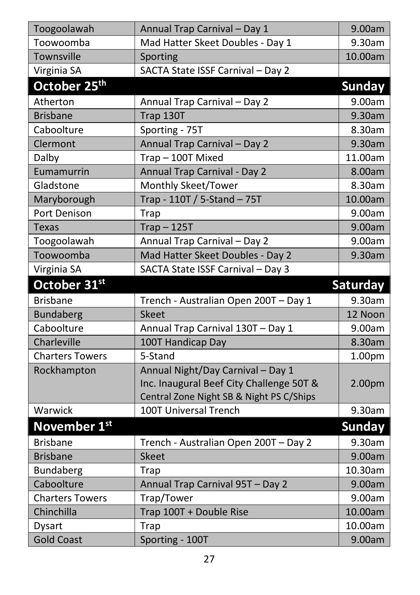| Toogoolawah              | Annual Trap Carnival - Day 1             | 9.00am          |
|--------------------------|------------------------------------------|-----------------|
| Toowoomba                | Mad Hatter Skeet Doubles - Day 1         | 9.30am          |
| Townsville               | Sporting                                 | 10.00am         |
| Virginia SA              | SACTA State ISSF Carnival - Day 2        |                 |
| October 25 <sup>th</sup> |                                          | <b>Sunday</b>   |
| Atherton                 | Annual Trap Carnival - Day 2             | 9.00am          |
| <b>Brisbane</b>          | Trap 130T                                | 9.30am          |
| Caboolture               | Sporting - 75T                           | 8.30am          |
| Clermont                 | Annual Trap Carnival - Day 2             | 9.30am          |
| Dalby                    | Trap-100T Mixed                          | 11.00am         |
| Eumamurrin               | Annual Trap Carnival - Day 2             | 8.00am          |
| Gladstone                | Monthly Skeet/Tower                      | 8.30am          |
| Maryborough              | Trap - 110T / 5-Stand - 75T              | 10.00am         |
| Port Denison             | <b>Trap</b>                              | 9.00am          |
| <b>Texas</b>             | $Trap - 125T$                            | 9.00am          |
| Toogoolawah              | Annual Trap Carnival - Day 2             | 9.00am          |
| Toowoomba                | Mad Hatter Skeet Doubles - Day 2         | 9.30am          |
| Virginia SA              | SACTA State ISSF Carnival - Day 3        |                 |
|                          |                                          |                 |
| October 31st             |                                          | <b>Saturday</b> |
| <b>Brisbane</b>          | Trench - Australian Open 200T - Day 1    | 9.30am          |
| <b>Bundaberg</b>         | <b>Skeet</b>                             | 12 Noon         |
| Caboolture               | Annual Trap Carnival 130T - Day 1        | 9.00am          |
| Charleville              | 100T Handicap Day                        | 8.30am          |
| <b>Charters Towers</b>   | 5-Stand                                  | 1.00pm          |
| Rockhampton              | Annual Night/Day Carnival - Day 1        |                 |
|                          | Inc. Inaugural Beef City Challenge 50T & | 2.00pm          |
|                          | Central Zone Night SB & Night PS C/Ships |                 |
| Warwick                  | 100T Universal Trench                    | 9.30am          |
| November 1st             |                                          | <b>Sunday</b>   |
| <b>Brisbane</b>          | Trench - Australian Open 200T - Day 2    | 9.30am          |
| <b>Brisbane</b>          | <b>Skeet</b>                             | 9.00am          |
| Bundaberg                | <b>Trap</b>                              | 10.30am         |
| Caboolture               | Annual Trap Carnival 95T - Day 2         | 9.00am          |
| <b>Charters Towers</b>   | Trap/Tower                               | 9.00am          |
| Chinchilla               | Trap 100T + Double Rise                  | 10.00am         |
| Dysart                   | Trap                                     | 10.00am         |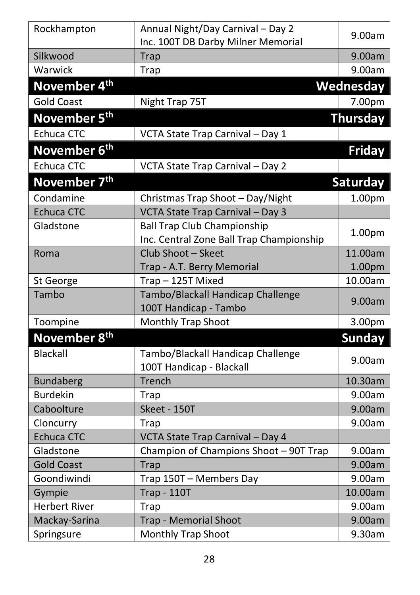| Rockhampton              | Annual Night/Day Carnival - Day 2        |                 |
|--------------------------|------------------------------------------|-----------------|
|                          | Inc. 100T DB Darby Milner Memorial       | 9.00am          |
| Silkwood                 | <b>Trap</b>                              | 9.00am          |
| Warwick                  | <b>Trap</b>                              | 9.00am          |
| November 4 <sup>th</sup> |                                          | Wednesday       |
| <b>Gold Coast</b>        | Night Trap 75T                           | 7.00pm          |
| November 5 <sup>th</sup> |                                          | Thursday        |
| <b>Echuca CTC</b>        | VCTA State Trap Carnival - Day 1         |                 |
| November 6 <sup>th</sup> |                                          | <b>Friday</b>   |
| <b>Echuca CTC</b>        | VCTA State Trap Carnival - Day 2         |                 |
| November 7 <sup>th</sup> |                                          | <b>Saturday</b> |
| Condamine                | Christmas Trap Shoot - Day/Night         | 1.00pm          |
| <b>Echuca CTC</b>        | VCTA State Trap Carnival - Day 3         |                 |
| Gladstone                | <b>Ball Trap Club Championship</b>       |                 |
|                          | Inc. Central Zone Ball Trap Championship | 1.00pm          |
| Roma                     | Club Shoot - Skeet                       | 11.00am         |
|                          | Trap - A.T. Berry Memorial               | 1.00pm          |
| St George                | Trap-125T Mixed                          | 10.00am         |
| Tambo                    | Tambo/Blackall Handicap Challenge        | 9.00am          |
|                          | 100T Handicap - Tambo                    |                 |
| Toompine                 | Monthly Trap Shoot                       | 3.00pm          |
| November 8 <sup>th</sup> |                                          | <b>Sunday</b>   |
| <b>Blackall</b>          | Tambo/Blackall Handicap Challenge        |                 |
|                          | 100T Handicap - Blackall                 | 9.00am          |
| <b>Bundaberg</b>         | Trench                                   | 10.30am         |
| <b>Burdekin</b>          | Trap                                     | 9.00am          |
| Caboolture               | Skeet - 150T                             | 9.00am          |
| Cloncurry                | Trap                                     | 9.00am          |
| <b>Echuca CTC</b>        | VCTA State Trap Carnival - Day 4         |                 |
| Gladstone                | Champion of Champions Shoot - 90T Trap   | 9.00am          |
| <b>Gold Coast</b>        | Trap                                     | 9.00am          |
| Goondiwindi              | Trap 150T - Members Day                  | 9.00am          |
| Gympie                   | <b>Trap - 110T</b>                       | 10.00am         |
| <b>Herbert River</b>     | Trap                                     | 9.00am          |
| Mackay-Sarina            | <b>Trap - Memorial Shoot</b>             | 9.00am          |
| Springsure               | <b>Monthly Trap Shoot</b>                | 9.30am          |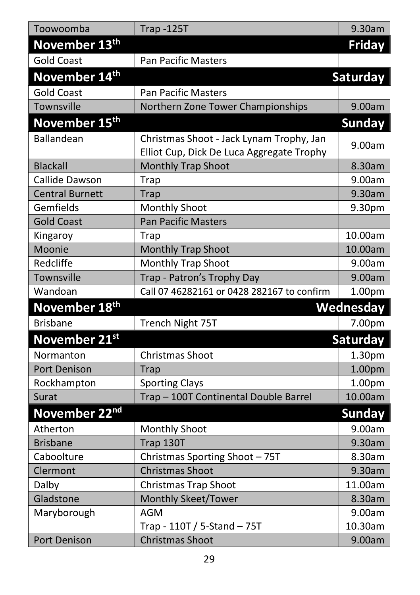| Toowoomba                 | <b>Trap -125T</b>                          | 9.30am          |
|---------------------------|--------------------------------------------|-----------------|
| November 13 <sup>th</sup> |                                            | <b>Friday</b>   |
| <b>Gold Coast</b>         | <b>Pan Pacific Masters</b>                 |                 |
| November 14th             |                                            | Saturday        |
| <b>Gold Coast</b>         | <b>Pan Pacific Masters</b>                 |                 |
| Townsville                | Northern Zone Tower Championships          | 9.00am          |
| November 15 <sup>th</sup> |                                            | <b>Sunday</b>   |
| Ballandean                | Christmas Shoot - Jack Lynam Trophy, Jan   |                 |
|                           | Elliot Cup, Dick De Luca Aggregate Trophy  | 9.00am          |
| <b>Blackall</b>           | Monthly Trap Shoot                         | 8.30am          |
| Callide Dawson            | Trap                                       | 9.00am          |
| <b>Central Burnett</b>    | <b>Trap</b>                                | 9.30am          |
| Gemfields                 | <b>Monthly Shoot</b>                       | 9.30pm          |
| <b>Gold Coast</b>         | <b>Pan Pacific Masters</b>                 |                 |
| Kingaroy                  | Trap                                       | 10.00am         |
| Moonie                    | <b>Monthly Trap Shoot</b>                  | 10.00am         |
| Redcliffe                 | Monthly Trap Shoot                         | 9.00am          |
| Townsville                | Trap - Patron's Trophy Day                 | 9.00am          |
| Wandoan                   | Call 07 46282161 or 0428 282167 to confirm | 1.00pm          |
| November 18 <sup>th</sup> |                                            | Wednesday       |
| <b>Brisbane</b>           | Trench Night 75T                           | 7.00pm          |
| November 21st             |                                            | <b>Saturday</b> |
| Normanton                 | Christmas Shoot                            | 1.30pm          |
| Port Denison              | <b>Trap</b>                                | 1.00pm          |
| Rockhampton               | <b>Sporting Clays</b>                      | 1.00pm          |
| Surat                     | Trap - 100T Continental Double Barrel      | 10.00am         |
| November 22nd             |                                            | <b>Sunday</b>   |
| Atherton                  | Monthly Shoot                              | 9.00am          |
| <b>Brisbane</b>           | Trap 130T                                  | 9.30am          |
| Caboolture                | Christmas Sporting Shoot - 75T             | 8.30am          |
| Clermont                  | <b>Christmas Shoot</b>                     | 9.30am          |
| Dalby                     | Christmas Trap Shoot                       | 11.00am         |
| Gladstone                 | <b>Monthly Skeet/Tower</b>                 | 8.30am          |
| Maryborough               | AGM                                        | 9.00am          |
|                           | Trap - 110T / 5-Stand - 75T                | 10.30am         |
| Port Denison              | <b>Christmas Shoot</b>                     | 9.00am          |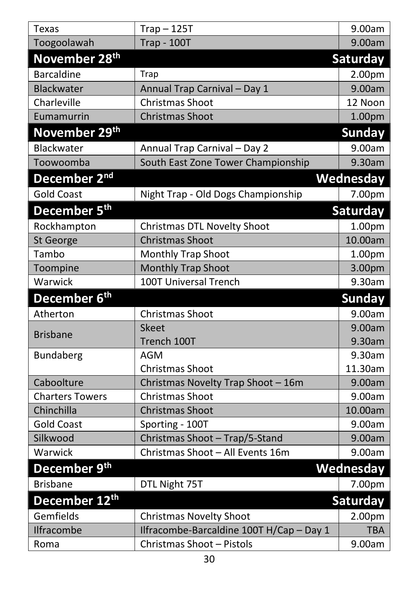| Texas                     | $Trap - 125T$                            | 9.00am          |
|---------------------------|------------------------------------------|-----------------|
| Toogoolawah               | <b>Trap - 100T</b>                       | 9.00am          |
| November 28 <sup>th</sup> |                                          | Saturday        |
| <b>Barcaldine</b>         | Trap                                     | 2.00pm          |
| Blackwater                | Annual Trap Carnival - Day 1             | 9.00am          |
| Charleville               | Christmas Shoot                          | 12 Noon         |
| Eumamurrin                | <b>Christmas Shoot</b>                   | 1.00pm          |
| November 29 <sup>th</sup> |                                          | <b>Sunday</b>   |
| Blackwater                | Annual Trap Carnival - Day 2             | 9.00am          |
| Toowoomba                 | South East Zone Tower Championship       | 9.30am          |
| December 2 <sup>nd</sup>  |                                          | Wednesday       |
| <b>Gold Coast</b>         | Night Trap - Old Dogs Championship       | 7.00pm          |
| December 5 <sup>th</sup>  |                                          | <b>Saturday</b> |
| Rockhampton               | Christmas DTL Novelty Shoot              | 1.00pm          |
| St George                 | <b>Christmas Shoot</b>                   | 10.00am         |
| Tambo                     | <b>Monthly Trap Shoot</b>                | 1.00pm          |
| Toompine                  | <b>Monthly Trap Shoot</b>                | 3.00pm          |
| Warwick                   | 100T Universal Trench                    | 9.30am          |
| December 6 <sup>th</sup>  |                                          | <b>Sunday</b>   |
| Atherton                  | Christmas Shoot                          | 9.00am          |
| <b>Brisbane</b>           | <b>Skeet</b>                             | 9.00am          |
|                           | Trench 100T                              | 9.30am          |
| <b>Bundaberg</b>          | AGM                                      | 9.30am          |
|                           | Christmas Shoot                          | 11.30am         |
| Caboolture                | Christmas Novelty Trap Shoot - 16m       | 9.00am          |
| <b>Charters Towers</b>    | Christmas Shoot                          | 9.00am          |
| Chinchilla                | <b>Christmas Shoot</b>                   | 10.00am         |
| <b>Gold Coast</b>         | Sporting - 100T                          | 9.00am          |
| Silkwood                  | Christmas Shoot - Trap/5-Stand           | 9.00am          |
| Warwick                   | Christmas Shoot - All Events 16m         | 9.00am          |
| December 9 <sup>th</sup>  |                                          | Wednesday       |
| <b>Brisbane</b>           | DTL Night 75T                            | 7.00pm          |
| December 12 <sup>th</sup> |                                          | Saturday        |
| Gemfields                 | <b>Christmas Novelty Shoot</b>           | 2.00pm          |
| Ilfracombe                | Ilfracombe-Barcaldine 100T H/Cap - Day 1 | <b>TBA</b>      |
| Roma                      | Christmas Shoot - Pistols                | 9.00am          |